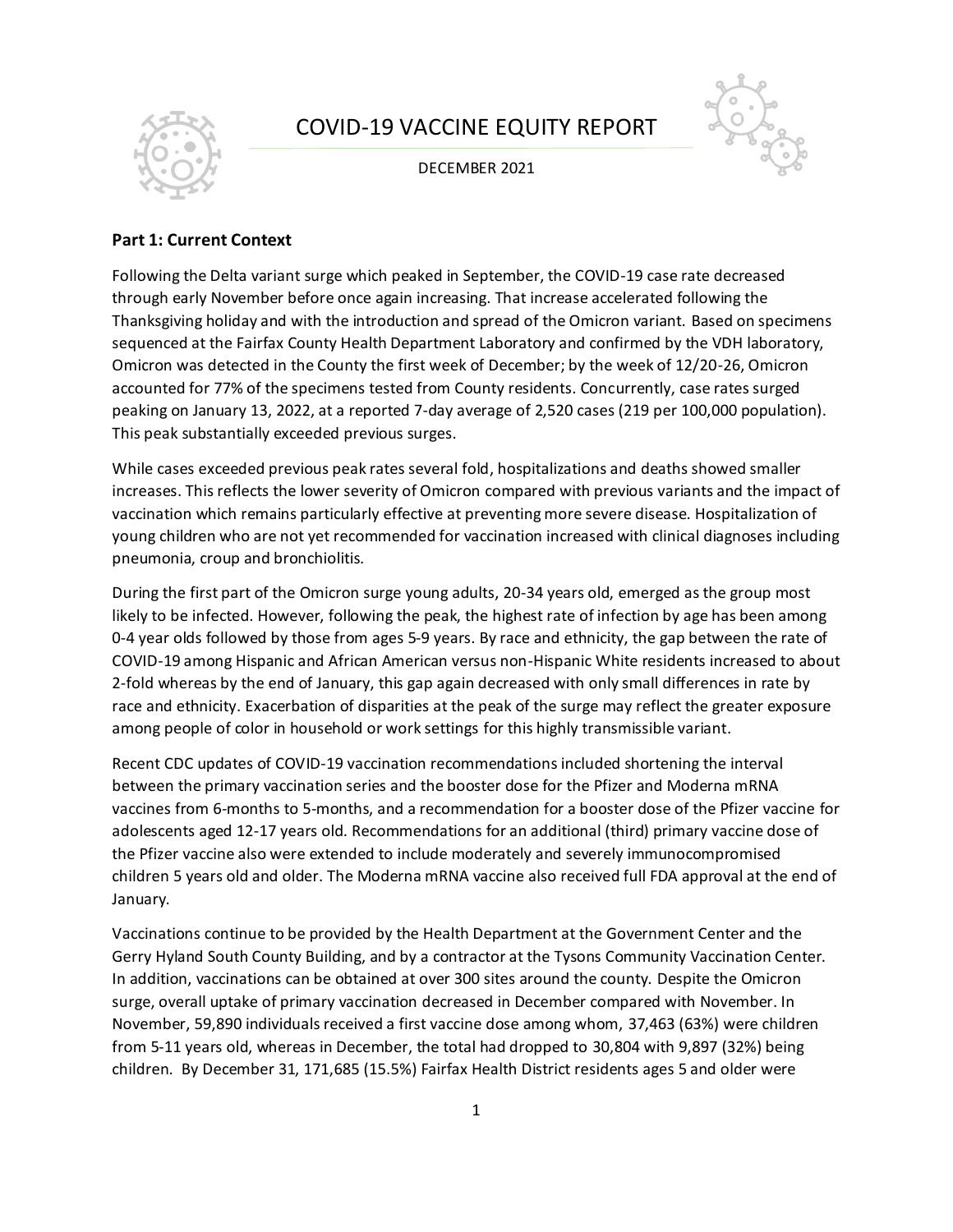

# COVID-19 VACCINE EQUITY REPORT

DECEMBER 2021



# **Part 1: Current Context**

Following the Delta variant surge which peaked in September, the COVID-19 case rate decreased through early November before once again increasing. That increase accelerated following the Thanksgiving holiday and with the introduction and spread of the Omicron variant. Based on specimens sequenced at the Fairfax County Health Department Laboratory and confirmed by the VDH laboratory, Omicron was detected in the County the first week of December; by the week of 12/20-26, Omicron accounted for 77% of the specimens tested from County residents. Concurrently, case rates surged peaking on January 13, 2022, at a reported 7-day average of 2,520 cases (219 per 100,000 population). This peak substantially exceeded previous surges.

While cases exceeded previous peak rates several fold, hospitalizations and deaths showed smaller increases. This reflects the lower severity of Omicron compared with previous variants and the impact of vaccination which remains particularly effective at preventing more severe disease. Hospitalization of young children who are not yet recommended for vaccination increased with clinical diagnoses including pneumonia, croup and bronchiolitis.

During the first part of the Omicron surge young adults, 20-34 years old, emerged as the group most likely to be infected. However, following the peak, the highest rate of infection by age has been among 0-4 year olds followed by those from ages 5-9 years. By race and ethnicity, the gap between the rate of COVID-19 among Hispanic and African American versus non-Hispanic White residents increased to about 2-fold whereas by the end of January, this gap again decreased with only small differences in rate by race and ethnicity. Exacerbation of disparities at the peak of the surge may reflect the greater exposure among people of color in household or work settings for this highly transmissible variant.

Recent CDC updates of COVID-19 vaccination recommendations included shortening the interval between the primary vaccination series and the booster dose for the Pfizer and Moderna mRNA vaccines from 6-months to 5-months, and a recommendation for a booster dose of the Pfizer vaccine for adolescents aged 12-17 years old. Recommendations for an additional (third) primary vaccine dose of the Pfizer vaccine also were extended to include moderately and severely immunocompromised children 5 years old and older. The Moderna mRNA vaccine also received full FDA approval at the end of January.

Vaccinations continue to be provided by the Health Department at the Government Center and the Gerry Hyland South County Building, and by a contractor at the Tysons Community Vaccination Center. In addition, vaccinations can be obtained at over 300 sites around the county. Despite the Omicron surge, overall uptake of primary vaccination decreased in December compared with November. In November, 59,890 individuals received a first vaccine dose among whom, 37,463 (63%) were children from 5-11 years old, whereas in December, the total had dropped to 30,804 with 9,897 (32%) being children. By December 31, 171,685 (15.5%) Fairfax Health District residents ages 5 and older were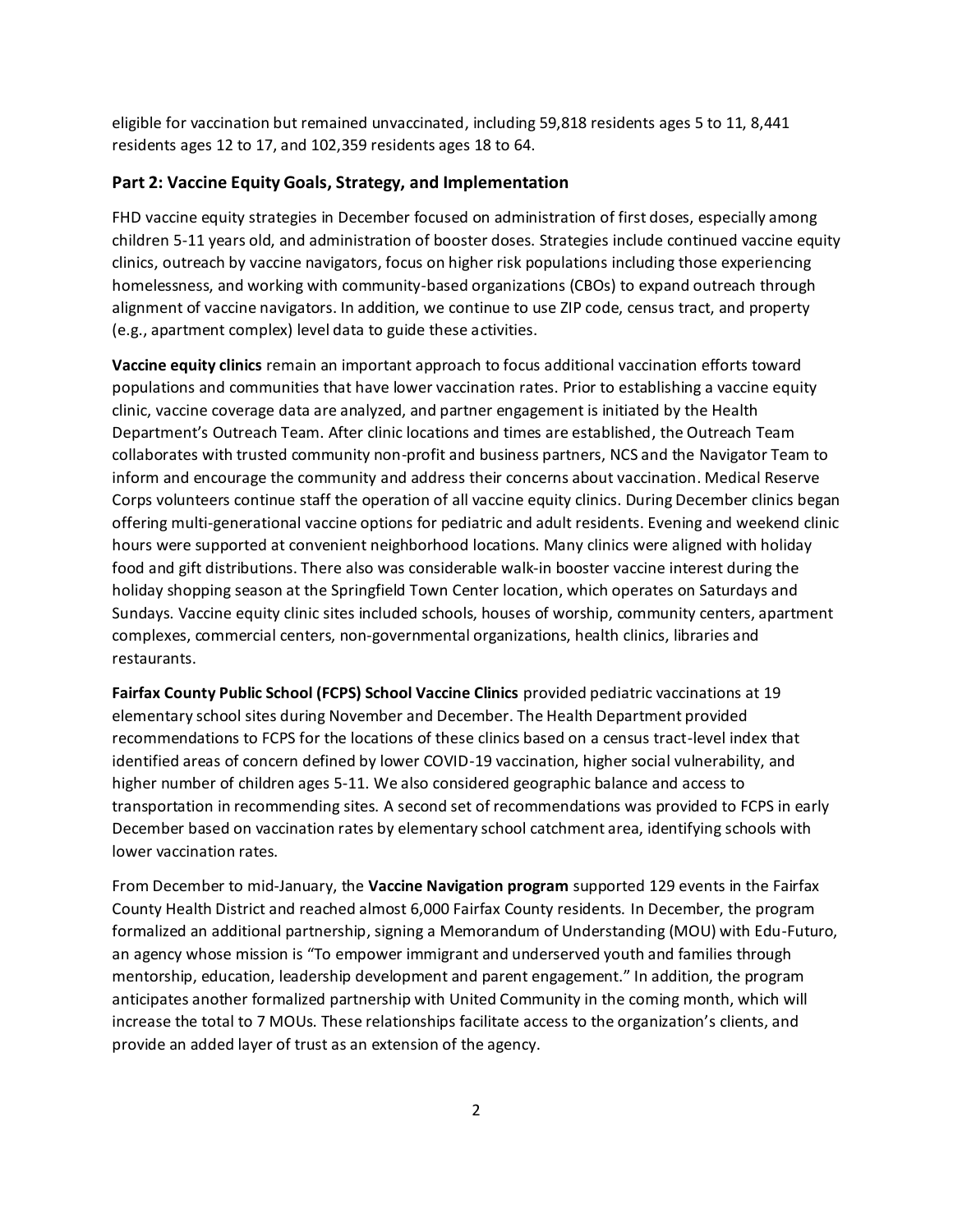eligible for vaccination but remained unvaccinated, including 59,818 residents ages 5 to 11, 8,441 residents ages 12 to 17, and 102,359 residents ages 18 to 64.

## **Part 2: Vaccine Equity Goals, Strategy, and Implementation**

FHD vaccine equity strategies in December focused on administration of first doses, especially among children 5-11 years old, and administration of booster doses. Strategies include continued vaccine equity clinics, outreach by vaccine navigators, focus on higher risk populations including those experiencing homelessness, and working with community-based organizations (CBOs) to expand outreach through alignment of vaccine navigators. In addition, we continue to use ZIP code, census tract, and property (e.g., apartment complex) level data to guide these activities.

**Vaccine equity clinics** remain an important approach to focus additional vaccination efforts toward populations and communities that have lower vaccination rates. Prior to establishing a vaccine equity clinic, vaccine coverage data are analyzed, and partner engagement is initiated by the Health Department's Outreach Team. After clinic locations and times are established, the Outreach Team collaborates with trusted community non-profit and business partners, NCS and the Navigator Team to inform and encourage the community and address their concerns about vaccination. Medical Reserve Corps volunteers continue staff the operation of all vaccine equity clinics. During December clinics began offering multi-generational vaccine options for pediatric and adult residents. Evening and weekend clinic hours were supported at convenient neighborhood locations. Many clinics were aligned with holiday food and gift distributions. There also was considerable walk-in booster vaccine interest during the holiday shopping season at the Springfield Town Center location, which operates on Saturdays and Sundays. Vaccine equity clinic sites included schools, houses of worship, community centers, apartment complexes, commercial centers, non-governmental organizations, health clinics, libraries and restaurants.

**Fairfax County Public School (FCPS) School Vaccine Clinics** provided pediatric vaccinations at 19 elementary school sites during November and December. The Health Department provided recommendations to FCPS for the locations of these clinics based on a census tract-level index that identified areas of concern defined by lower COVID-19 vaccination, higher social vulnerability, and higher number of children ages 5-11. We also considered geographic balance and access to transportation in recommending sites. A second set of recommendations was provided to FCPS in early December based on vaccination rates by elementary school catchment area, identifying schools with lower vaccination rates.

From December to mid-January, the **Vaccine Navigation program** supported 129 events in the Fairfax County Health District and reached almost 6,000 Fairfax County residents. In December, the program formalized an additional partnership, signing a Memorandum of Understanding (MOU) with Edu-Futuro, an agency whose mission is "To empower immigrant and underserved youth and families through mentorship, education, leadership development and parent engagement." In addition, the program anticipates another formalized partnership with United Community in the coming month, which will increase the total to 7 MOUs. These relationships facilitate access to the organization's clients, and provide an added layer of trust as an extension of the agency.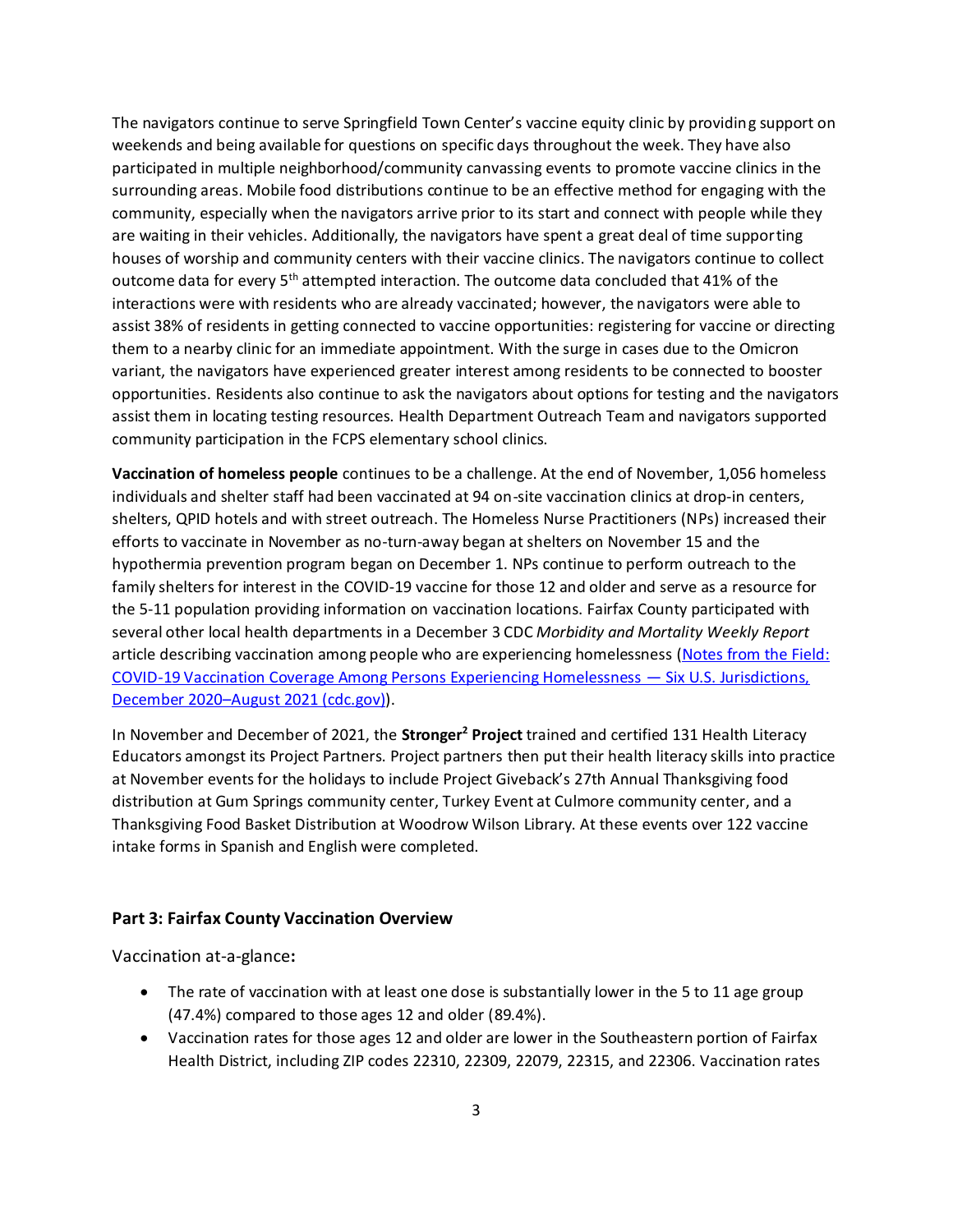The navigators continue to serve Springfield Town Center's vaccine equity clinic by providing support on weekends and being available for questions on specific days throughout the week. They have also participated in multiple neighborhood/community canvassing events to promote vaccine clinics in the surrounding areas. Mobile food distributions continue to be an effective method for engaging with the community, especially when the navigators arrive prior to its start and connect with people while they are waiting in their vehicles. Additionally, the navigators have spent a great deal of time supporting houses of worship and community centers with their vaccine clinics. The navigators continue to collect outcome data for every 5<sup>th</sup> attempted interaction. The outcome data concluded that 41% of the interactions were with residents who are already vaccinated; however, the navigators were able to assist 38% of residents in getting connected to vaccine opportunities: registering for vaccine or directing them to a nearby clinic for an immediate appointment. With the surge in cases due to the Omicron variant, the navigators have experienced greater interest among residents to be connected to booster opportunities. Residents also continue to ask the navigators about options for testing and the navigators assist them in locating testing resources. Health Department Outreach Team and navigators supported community participation in the FCPS elementary school clinics.

**Vaccination of homeless people** continues to be a challenge. At the end of November, 1,056 homeless individuals and shelter staff had been vaccinated at 94 on-site vaccination clinics at drop-in centers, shelters, QPID hotels and with street outreach. The Homeless Nurse Practitioners (NPs) increased their efforts to vaccinate in November as no-turn-away began at shelters on November 15 and the hypothermia prevention program began on December 1. NPs continue to perform outreach to the family shelters for interest in the COVID-19 vaccine for those 12 and older and serve as a resource for the 5-11 population providing information on vaccination locations. Fairfax County participated with several other local health departments in a December 3 CDC *Morbidity and Mortality Weekly Report* article describing vaccination among people who are experiencing homelessness [\(Notes from the Field:](https://www.cdc.gov/mmwr/volumes/70/wr/pdfs/mm7048a4-H.pdf)  [COVID-19 Vaccination Coverage Among Persons Experiencing Homelessness](https://www.cdc.gov/mmwr/volumes/70/wr/pdfs/mm7048a4-H.pdf) — Six U.S. Jurisdictions, December 2020–[August 2021 \(cdc.gov\)\)](https://www.cdc.gov/mmwr/volumes/70/wr/pdfs/mm7048a4-H.pdf).

In November and December of 2021, the **Stronger<sup>2</sup> Project** trained and certified 131 Health Literacy Educators amongst its Project Partners. Project partners then put their health literacy skills into practice at November events for the holidays to include Project Giveback's 27th Annual Thanksgiving food distribution at Gum Springs community center, Turkey Event at Culmore community center, and a Thanksgiving Food Basket Distribution at Woodrow Wilson Library. At these events over 122 vaccine intake forms in Spanish and English were completed.

# **Part 3: Fairfax County Vaccination Overview**

Vaccination at-a-glance**:**

- The rate of vaccination with at least one dose is substantially lower in the 5 to 11 age group (47.4%) compared to those ages 12 and older (89.4%).
- Vaccination rates for those ages 12 and older are lower in the Southeastern portion of Fairfax Health District, including ZIP codes 22310, 22309, 22079, 22315, and 22306. Vaccination rates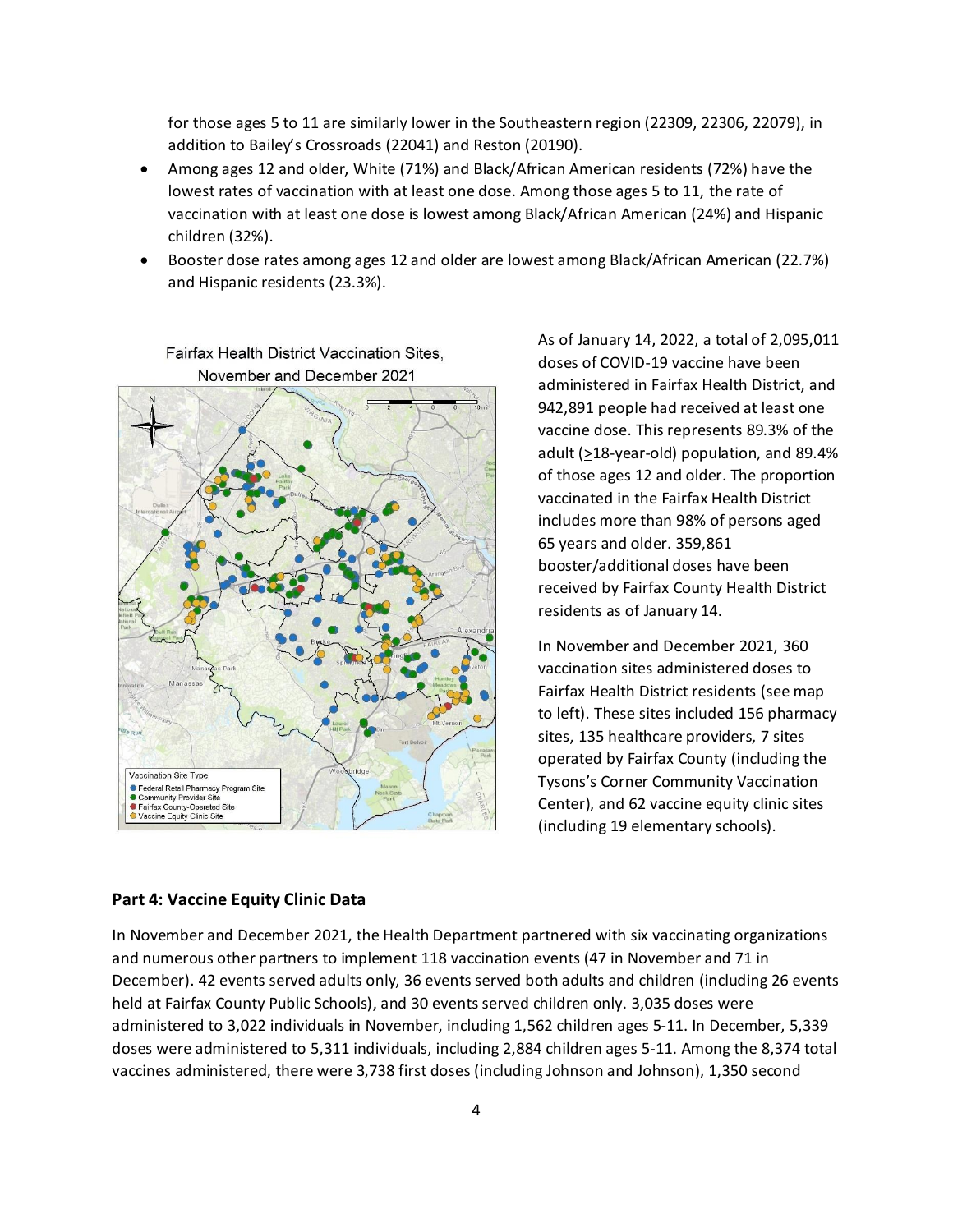for those ages 5 to 11 are similarly lower in the Southeastern region (22309, 22306, 22079), in addition to Bailey's Crossroads (22041) and Reston (20190).

- Among ages 12 and older, White (71%) and Black/African American residents (72%) have the lowest rates of vaccination with at least one dose. Among those ages 5 to 11, the rate of vaccination with at least one dose is lowest among Black/African American (24%) and Hispanic children (32%).
- Booster dose rates among ages 12 and older are lowest among Black/African American (22.7%) and Hispanic residents (23.3%).



Fairfax Health District Vaccination Sites, November and December 2021

As of January 14, 2022, a total of 2,095,011 doses of COVID-19 vaccine have been administered in Fairfax Health District, and 942,891 people had received at least one vaccine dose. This represents 89.3% of the adult ( $\geq$ 18-year-old) population, and 89.4% of those ages 12 and older. The proportion vaccinated in the Fairfax Health District includes more than 98% of persons aged 65 years and older. 359,861 booster/additional doses have been received by Fairfax County Health District residents as of January 14.

In November and December 2021, 360 vaccination sites administered doses to Fairfax Health District residents (see map to left). These sites included 156 pharmacy sites, 135 healthcare providers, 7 sites operated by Fairfax County (including the Tysons's Corner Community Vaccination Center), and 62 vaccine equity clinic sites (including 19 elementary schools).

#### **Part 4: Vaccine Equity Clinic Data**

In November and December 2021, the Health Department partnered with six vaccinating organizations and numerous other partners to implement 118 vaccination events (47 in November and 71 in December). 42 events served adults only, 36 events served both adults and children (including 26 events held at Fairfax County Public Schools), and 30 events served children only. 3,035 doses were administered to 3,022 individuals in November, including 1,562 children ages 5-11. In December, 5,339 doses were administered to 5,311 individuals, including 2,884 children ages 5-11. Among the 8,374 total vaccines administered, there were 3,738 first doses (including Johnson and Johnson), 1,350 second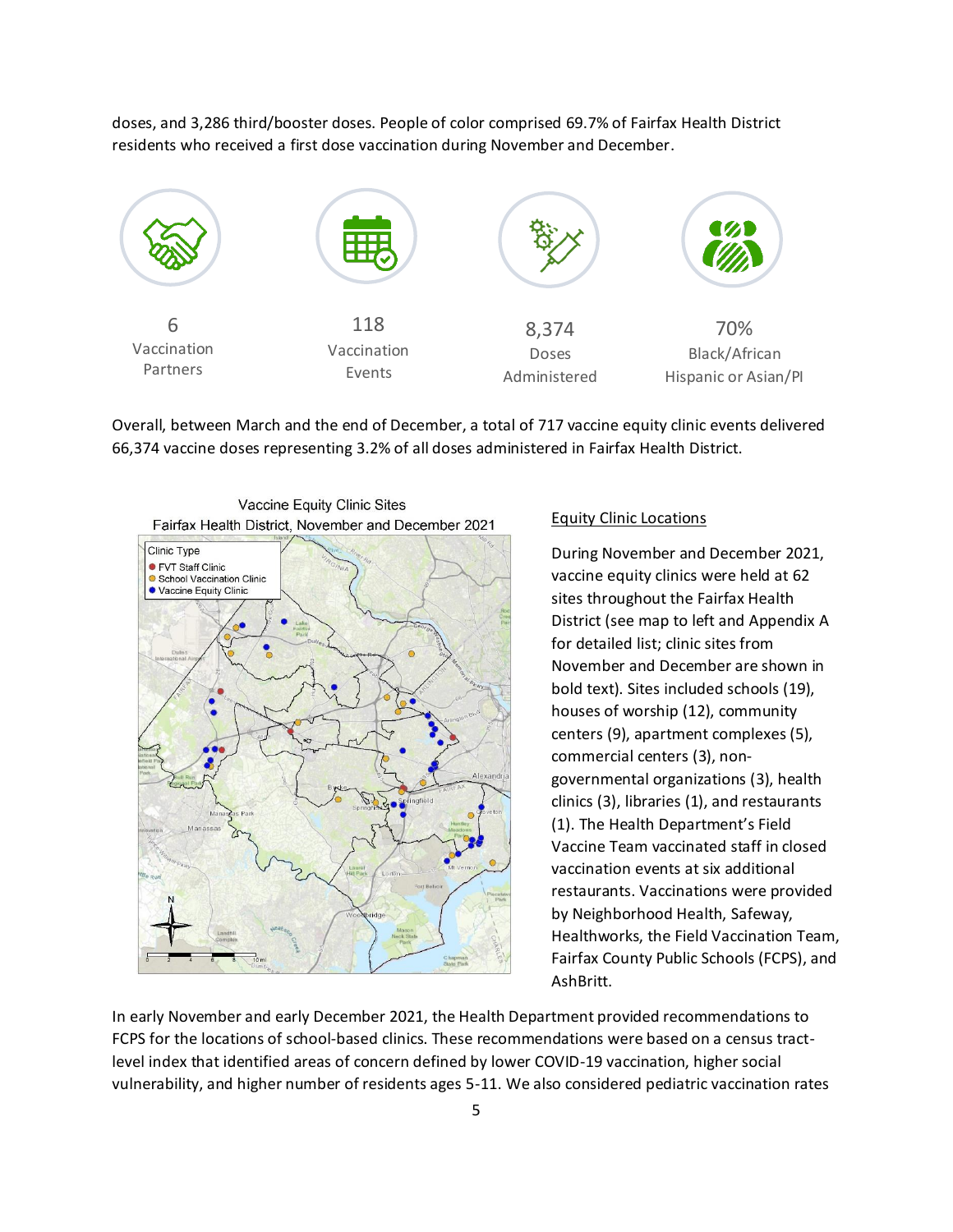doses, and 3,286 third/booster doses. People of color comprised 69.7% of Fairfax Health District residents who received a first dose vaccination during November and December.



Overall, between March and the end of December, a total of 717 vaccine equity clinic events delivered 66,374 vaccine doses representing 3.2% of all doses administered in Fairfax Health District.



#### Equity Clinic Locations

During November and December 2021, vaccine equity clinics were held at 62 sites throughout the Fairfax Health District (see map to left and Appendix A for detailed list; clinic sites from November and December are shown in bold text). Sites included schools (19), houses of worship (12), community centers (9), apartment complexes (5), commercial centers (3), nongovernmental organizations (3), health clinics (3), libraries (1), and restaurants (1). The Health Department's Field Vaccine Team vaccinated staff in closed vaccination events at six additional restaurants. Vaccinations were provided by Neighborhood Health, Safeway, Healthworks, the Field Vaccination Team, Fairfax County Public Schools (FCPS), and AshBritt.

In early November and early December 2021, the Health Department provided recommendations to FCPS for the locations of school-based clinics. These recommendations were based on a census tractlevel index that identified areas of concern defined by lower COVID-19 vaccination, higher social vulnerability, and higher number of residents ages 5-11. We also considered pediatric vaccination rates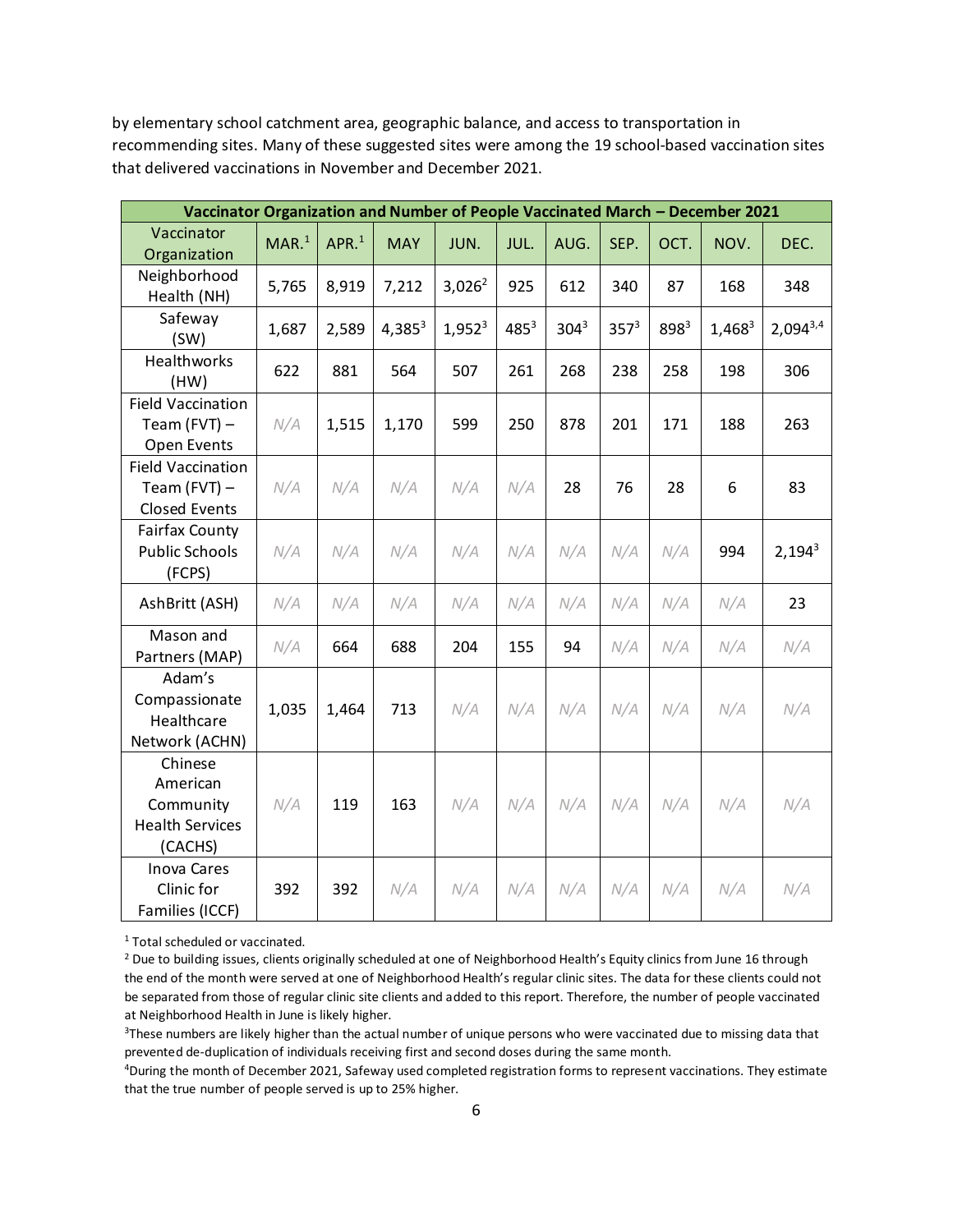by elementary school catchment area, geographic balance, and access to transportation in recommending sites. Many of these suggested sites were among the 19 school-based vaccination sites that delivered vaccinations in November and December 2021.

|                                                                       | Vaccinator Organization and Number of People Vaccinated March - December 2021 |                  |            |           |           |         |         |      |           |               |
|-----------------------------------------------------------------------|-------------------------------------------------------------------------------|------------------|------------|-----------|-----------|---------|---------|------|-----------|---------------|
| Vaccinator<br>Organization                                            | MAR. <sup>1</sup>                                                             | APR <sup>1</sup> | <b>MAY</b> | JUN.      | JUL.      | AUG.    | SEP.    | OCT. | NOV.      | DEC.          |
| Neighborhood<br>Health (NH)                                           | 5,765                                                                         | 8,919            | 7,212      | $3,026^2$ | 925       | 612     | 340     | 87   | 168       | 348           |
| Safeway<br>(SW)                                                       | 1,687                                                                         | 2,589            | $4,385^3$  | $1,952^3$ | $485^{3}$ | $304^3$ | $357^3$ | 8983 | $1,468^3$ | $2,094^{3,4}$ |
| Healthworks<br>(HW)                                                   | 622                                                                           | 881              | 564        | 507       | 261       | 268     | 238     | 258  | 198       | 306           |
| <b>Field Vaccination</b><br>Team (FVT) $-$<br>Open Events             | N/A                                                                           | 1,515            | 1,170      | 599       | 250       | 878     | 201     | 171  | 188       | 263           |
| <b>Field Vaccination</b><br>Team (FVT) $-$<br><b>Closed Events</b>    | N/A                                                                           | N/A              | N/A        | N/A       | N/A       | 28      | 76      | 28   | 6         | 83            |
| <b>Fairfax County</b><br><b>Public Schools</b><br>(FCPS)              | N/A                                                                           | N/A              | N/A        | N/A       | N/A       | N/A     | N/A     | N/A  | 994       | $2,194^3$     |
| AshBritt (ASH)                                                        | N/A                                                                           | N/A              | N/A        | N/A       | N/A       | N/A     | N/A     | N/A  | N/A       | 23            |
| Mason and<br>Partners (MAP)                                           | N/A                                                                           | 664              | 688        | 204       | 155       | 94      | N/A     | N/A  | N/A       | N/A           |
| Adam's<br>Compassionate<br>Healthcare<br>Network (ACHN)               | 1,035                                                                         | 1,464            | 713        | N/A       | N/A       | N/A     | N/A     | N/A  | N/A       | N/A           |
| Chinese<br>American<br>Community<br><b>Health Services</b><br>(CACHS) | N/A                                                                           | 119              | 163        | N/A       | N/A       | N/A     | N/A     | N/A  | N/A       | N/A           |
| <b>Inova Cares</b><br>Clinic for<br>Families (ICCF)                   | 392                                                                           | 392              | N/A        | N/A       | N/A       | N/A     | N/A     | N/A  | N/A       | N/A           |

<sup>1</sup> Total scheduled or vaccinated.

<sup>&</sup>lt;sup>2</sup> Due to building issues, clients originally scheduled at one of Neighborhood Health's Equity clinics from June 16 through the end of the month were served at one of Neighborhood Health's regular clinic sites. The data for these clients could not be separated from those of regular clinic site clients and added to this report. Therefore, the number of people vaccinated at Neighborhood Health in June is likely higher.

<sup>&</sup>lt;sup>3</sup>These numbers are likely higher than the actual number of unique persons who were vaccinated due to missing data that prevented de-duplication of individuals receiving first and second doses during the same month.

<sup>4</sup>During the month of December 2021, Safeway used completed registration forms to represent vaccinations. They estimate that the true number of people served is up to 25% higher.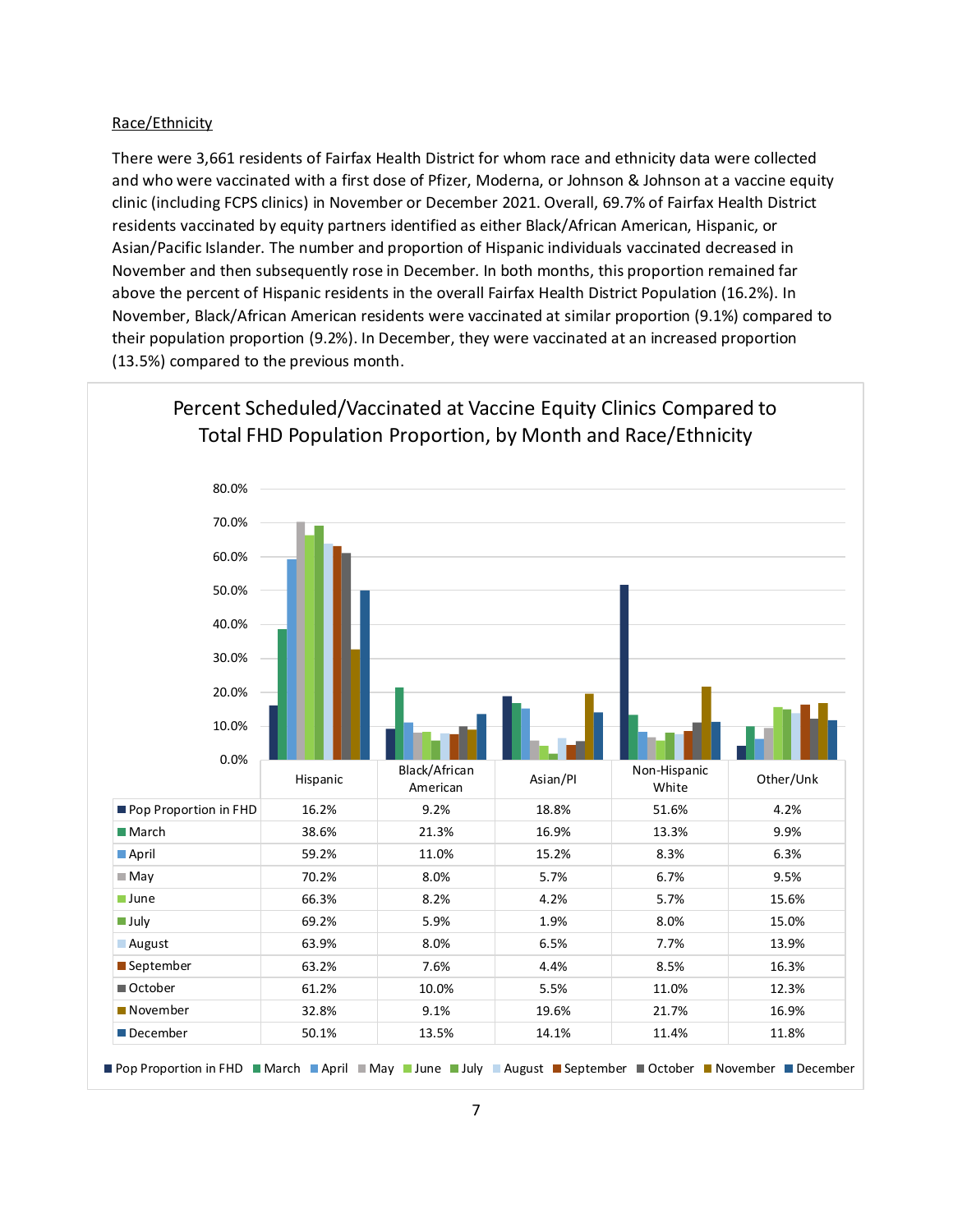#### Race/Ethnicity

There were 3,661 residents of Fairfax Health District for whom race and ethnicity data were collected and who were vaccinated with a first dose of Pfizer, Moderna, or Johnson & Johnson at a vaccine equity clinic (including FCPS clinics) in November or December 2021. Overall, 69.7% of Fairfax Health District residents vaccinated by equity partners identified as either Black/African American, Hispanic, or Asian/Pacific Islander. The number and proportion of Hispanic individuals vaccinated decreased in November and then subsequently rose in December. In both months, this proportion remained far above the percent of Hispanic residents in the overall Fairfax Health District Population (16.2%). In November, Black/African American residents were vaccinated at similar proportion (9.1%) compared to their population proportion (9.2%). In December, they were vaccinated at an increased proportion (13.5%) compared to the previous month.



Percent Scheduled/Vaccinated at Vaccine Equity Clinics Compared to Total FHD Population Proportion, by Month and Race/Ethnicity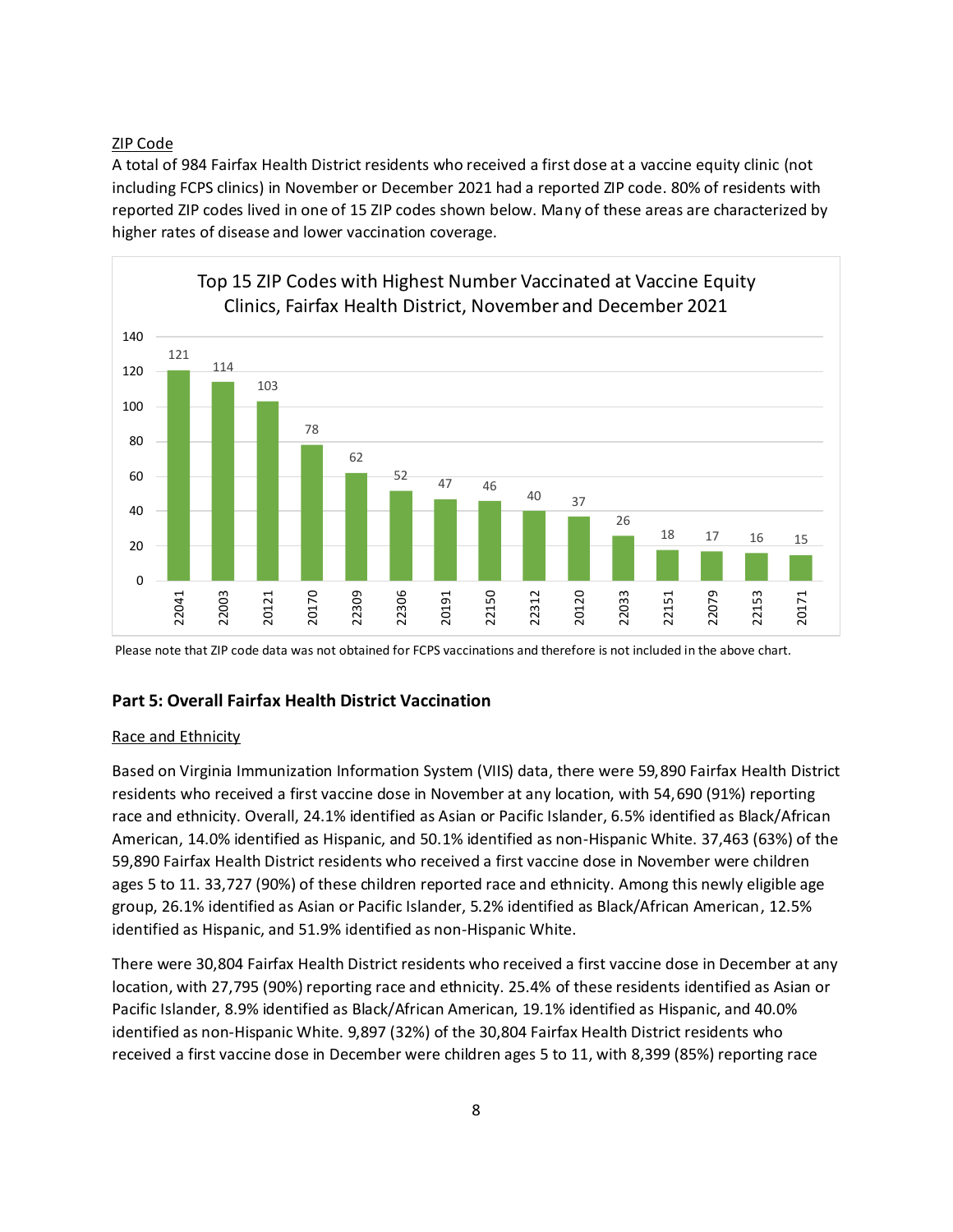ZIP Code

A total of 984 Fairfax Health District residents who received a first dose at a vaccine equity clinic (not including FCPS clinics) in November or December 2021 had a reported ZIP code. 80% of residents with reported ZIP codes lived in one of 15 ZIP codes shown below. Many of these areas are characterized by higher rates of disease and lower vaccination coverage.



Please note that ZIP code data was not obtained for FCPS vaccinations and therefore is not included in the above chart.

# **Part 5: Overall Fairfax Health District Vaccination**

## Race and Ethnicity

Based on Virginia Immunization Information System (VIIS) data, there were 59,890 Fairfax Health District residents who received a first vaccine dose in November at any location, with 54,690 (91%) reporting race and ethnicity. Overall, 24.1% identified as Asian or Pacific Islander, 6.5% identified as Black/African American, 14.0% identified as Hispanic, and 50.1% identified as non-Hispanic White. 37,463 (63%) of the 59,890 Fairfax Health District residents who received a first vaccine dose in November were children ages 5 to 11. 33,727 (90%) of these children reported race and ethnicity. Among this newly eligible age group, 26.1% identified as Asian or Pacific Islander, 5.2% identified as Black/African American, 12.5% identified as Hispanic, and 51.9% identified as non-Hispanic White.

There were 30,804 Fairfax Health District residents who received a first vaccine dose in December at any location, with 27,795 (90%) reporting race and ethnicity. 25.4% of these residents identified as Asian or Pacific Islander, 8.9% identified as Black/African American, 19.1% identified as Hispanic, and 40.0% identified as non-Hispanic White. 9,897 (32%) of the 30,804 Fairfax Health District residents who received a first vaccine dose in December were children ages 5 to 11, with 8,399 (85%) reporting race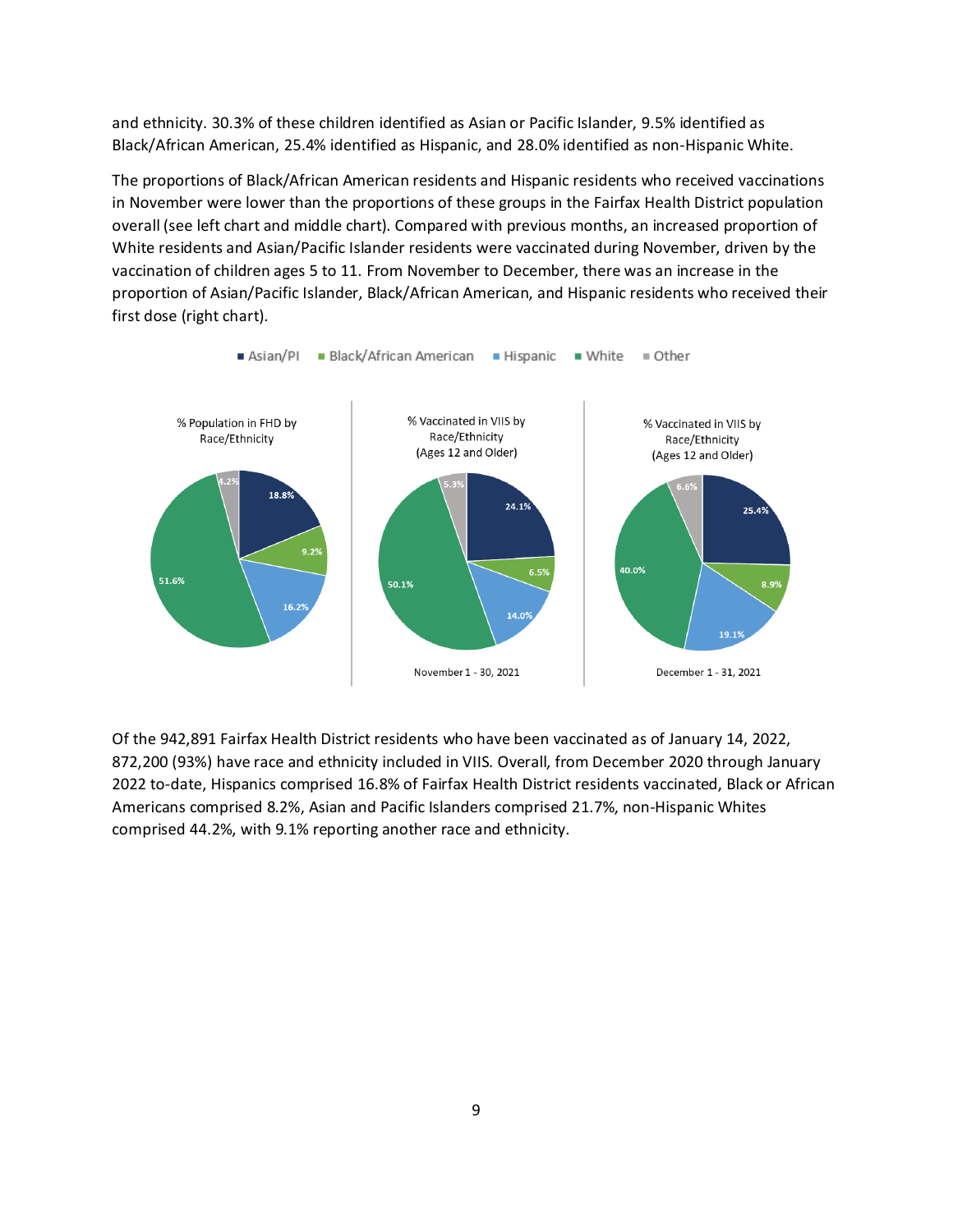and ethnicity. 30.3% of these children identified as Asian or Pacific Islander, 9.5% identified as Black/African American, 25.4% identified as Hispanic, and 28.0% identified as non-Hispanic White.

The proportions of Black/African American residents and Hispanic residents who received vaccinations in November were lower than the proportions of these groups in the Fairfax Health District population overall (see left chart and middle chart). Compared with previous months, an increased proportion of White residents and Asian/Pacific Islander residents were vaccinated during November, driven by the vaccination of children ages 5 to 11. From November to December, there was an increase in the proportion of Asian/Pacific Islander, Black/African American, and Hispanic residents who received their first dose (right chart).



Of the 942,891 Fairfax Health District residents who have been vaccinated as of January 14, 2022, 872,200 (93%) have race and ethnicity included in VIIS. Overall, from December 2020 through January 2022 to-date, Hispanics comprised 16.8% of Fairfax Health District residents vaccinated, Black or African Americans comprised 8.2%, Asian and Pacific Islanders comprised 21.7%, non-Hispanic Whites comprised 44.2%, with 9.1% reporting another race and ethnicity.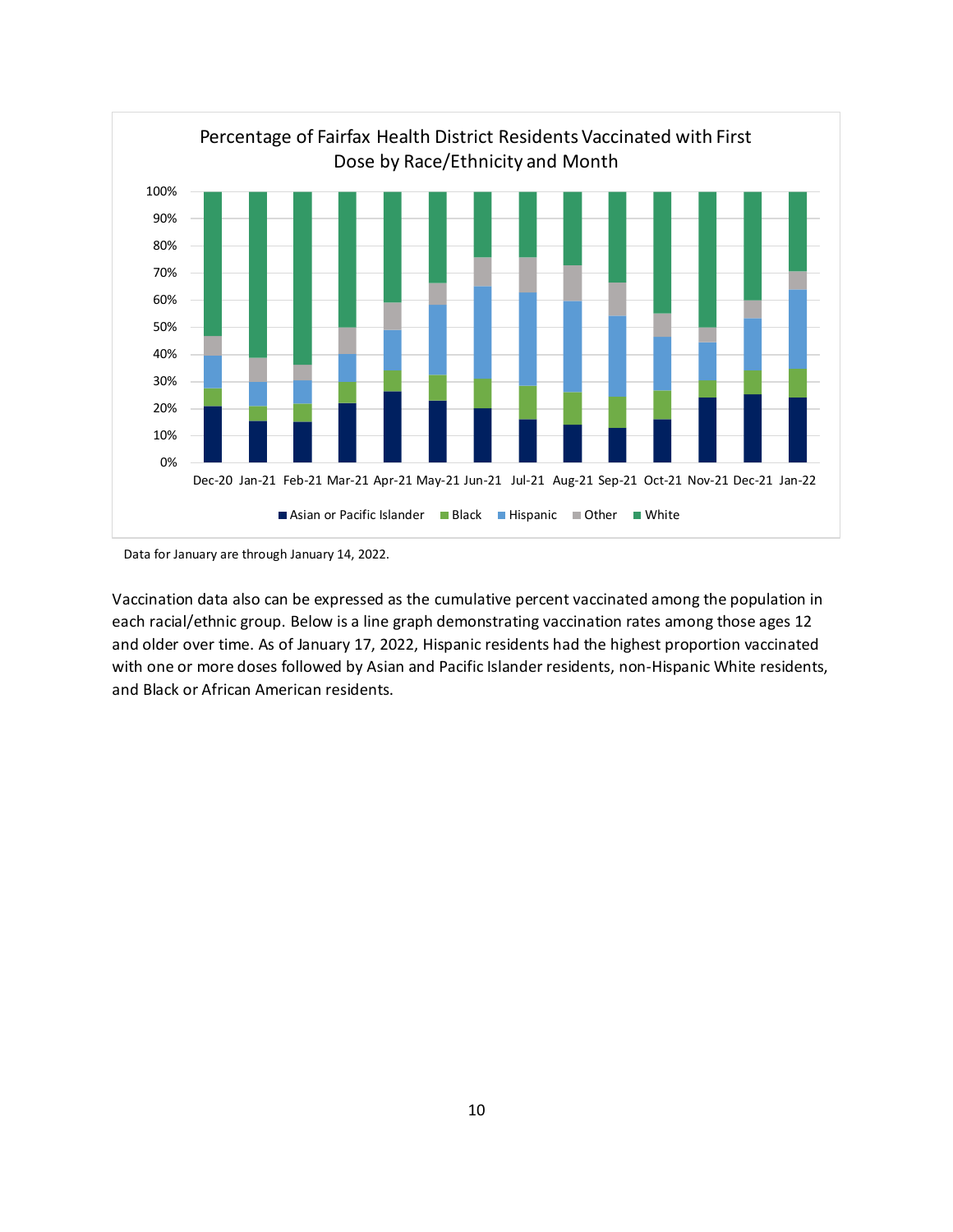

Data for January are through January 14, 2022.

Vaccination data also can be expressed as the cumulative percent vaccinated among the population in each racial/ethnic group. Below is a line graph demonstrating vaccination rates among those ages 12 and older over time. As of January 17, 2022, Hispanic residents had the highest proportion vaccinated with one or more doses followed by Asian and Pacific Islander residents, non-Hispanic White residents, and Black or African American residents.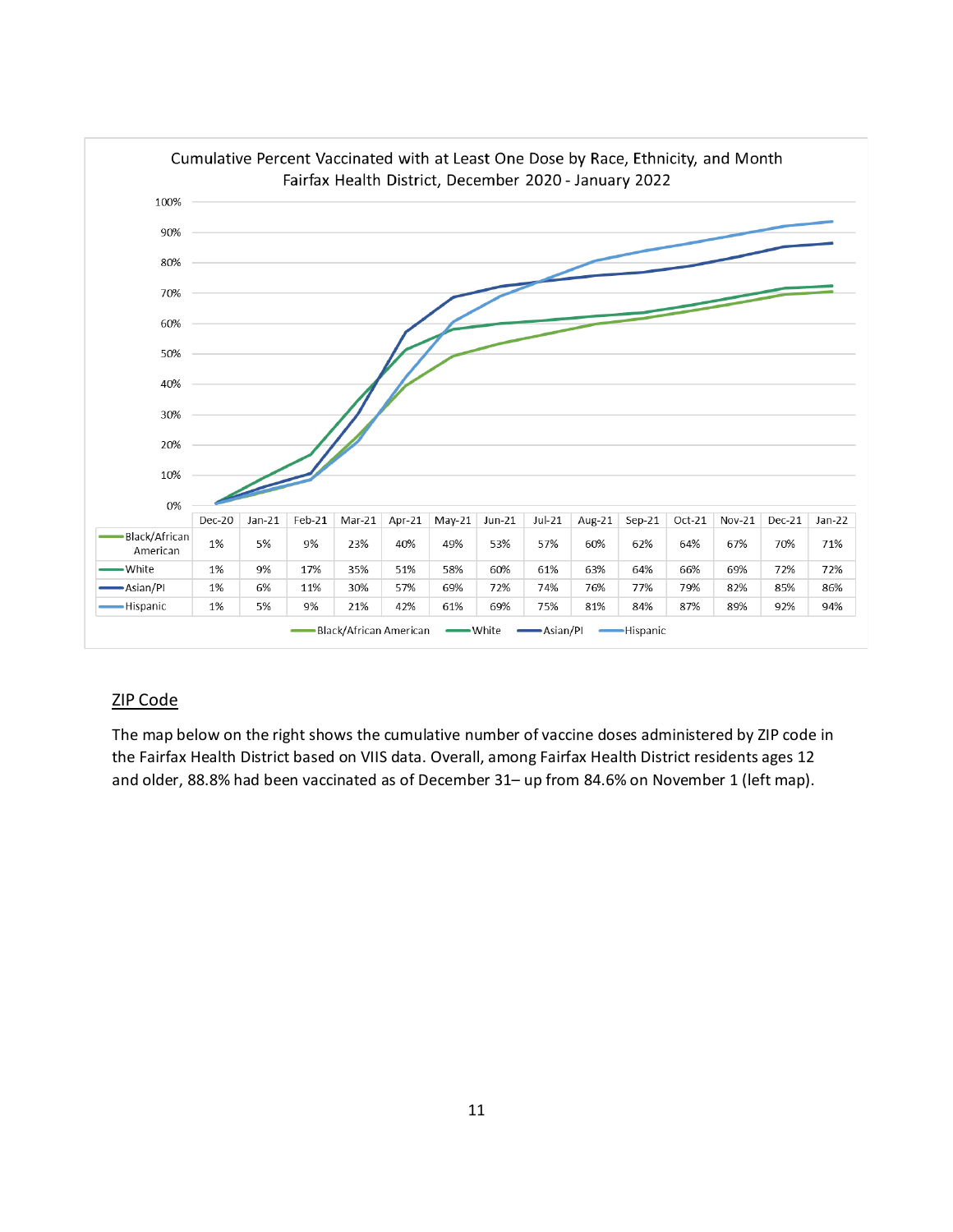

# ZIP Code

The map below on the right shows the cumulative number of vaccine doses administered by ZIP code in the Fairfax Health District based on VIIS data. Overall, among Fairfax Health District residents ages 12 and older, 88.8% had been vaccinated as of December 31– up from 84.6% on November 1 (left map).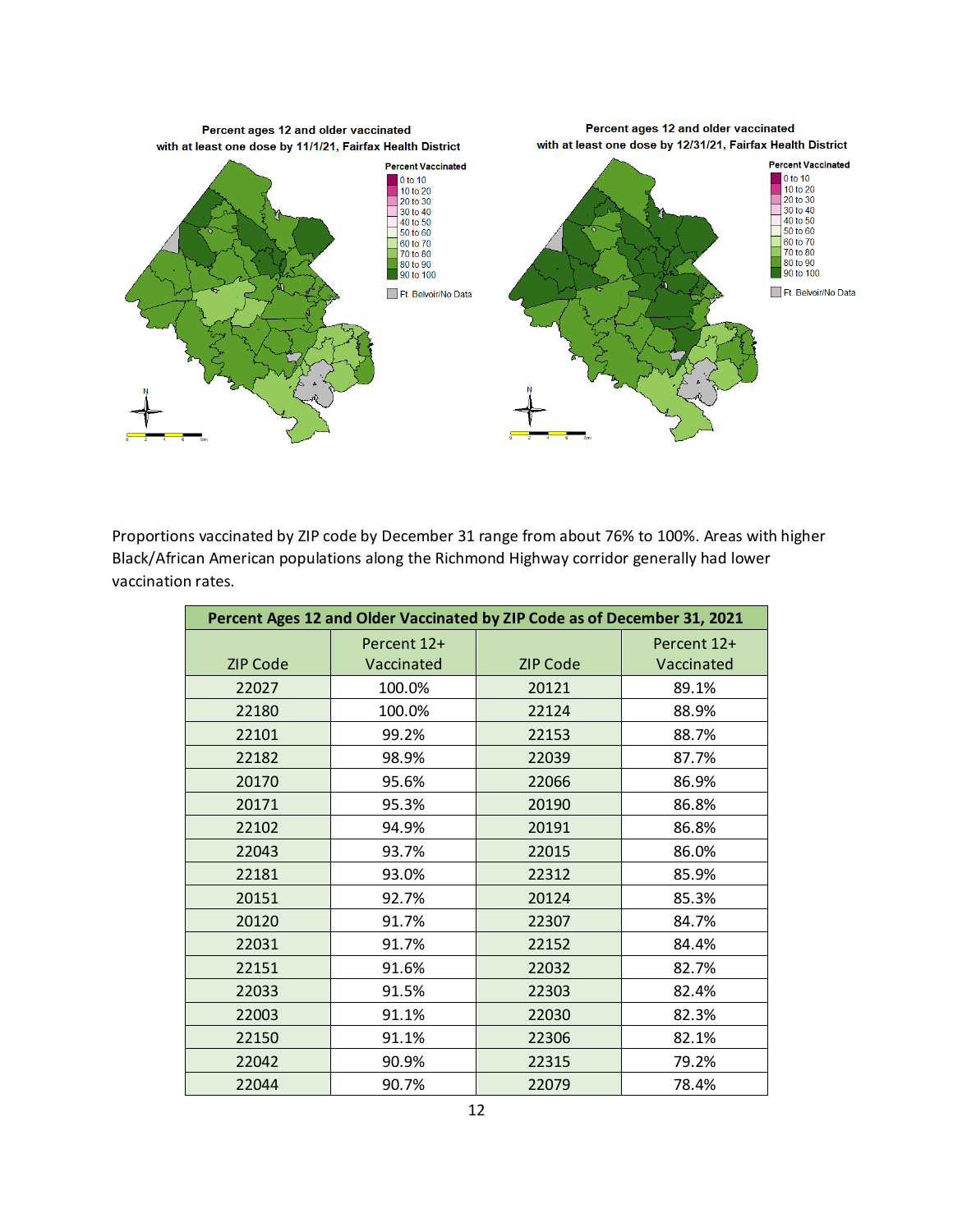

Proportions vaccinated by ZIP code by December 31 range from about 76% to 100%. Areas with higher Black/African American populations along the Richmond Highway corridor generally had lower vaccination rates.

| Percent Ages 12 and Older Vaccinated by ZIP Code as of December 31, 2021 |             |                 |             |
|--------------------------------------------------------------------------|-------------|-----------------|-------------|
|                                                                          | Percent 12+ |                 | Percent 12+ |
| <b>ZIP Code</b>                                                          | Vaccinated  | <b>ZIP Code</b> | Vaccinated  |
| 22027                                                                    | 100.0%      | 20121           | 89.1%       |
| 22180                                                                    | 100.0%      | 22124           | 88.9%       |
| 22101                                                                    | 99.2%       | 22153           | 88.7%       |
| 22182                                                                    | 98.9%       | 22039           | 87.7%       |
| 20170                                                                    | 95.6%       | 22066           | 86.9%       |
| 20171                                                                    | 95.3%       | 20190           | 86.8%       |
| 22102                                                                    | 94.9%       | 20191           | 86.8%       |
| 22043                                                                    | 93.7%       | 22015           | 86.0%       |
| 22181                                                                    | 93.0%       | 22312           | 85.9%       |
| 20151                                                                    | 92.7%       | 20124           | 85.3%       |
| 20120                                                                    | 91.7%       | 22307           | 84.7%       |
| 22031                                                                    | 91.7%       | 22152           | 84.4%       |
| 22151                                                                    | 91.6%       | 22032           | 82.7%       |
| 22033                                                                    | 91.5%       | 22303           | 82.4%       |
| 22003                                                                    | 91.1%       | 22030           | 82.3%       |
| 22150                                                                    | 91.1%       | 22306           | 82.1%       |
| 22042                                                                    | 90.9%       | 22315           | 79.2%       |
| 22044                                                                    | 90.7%       | 22079           | 78.4%       |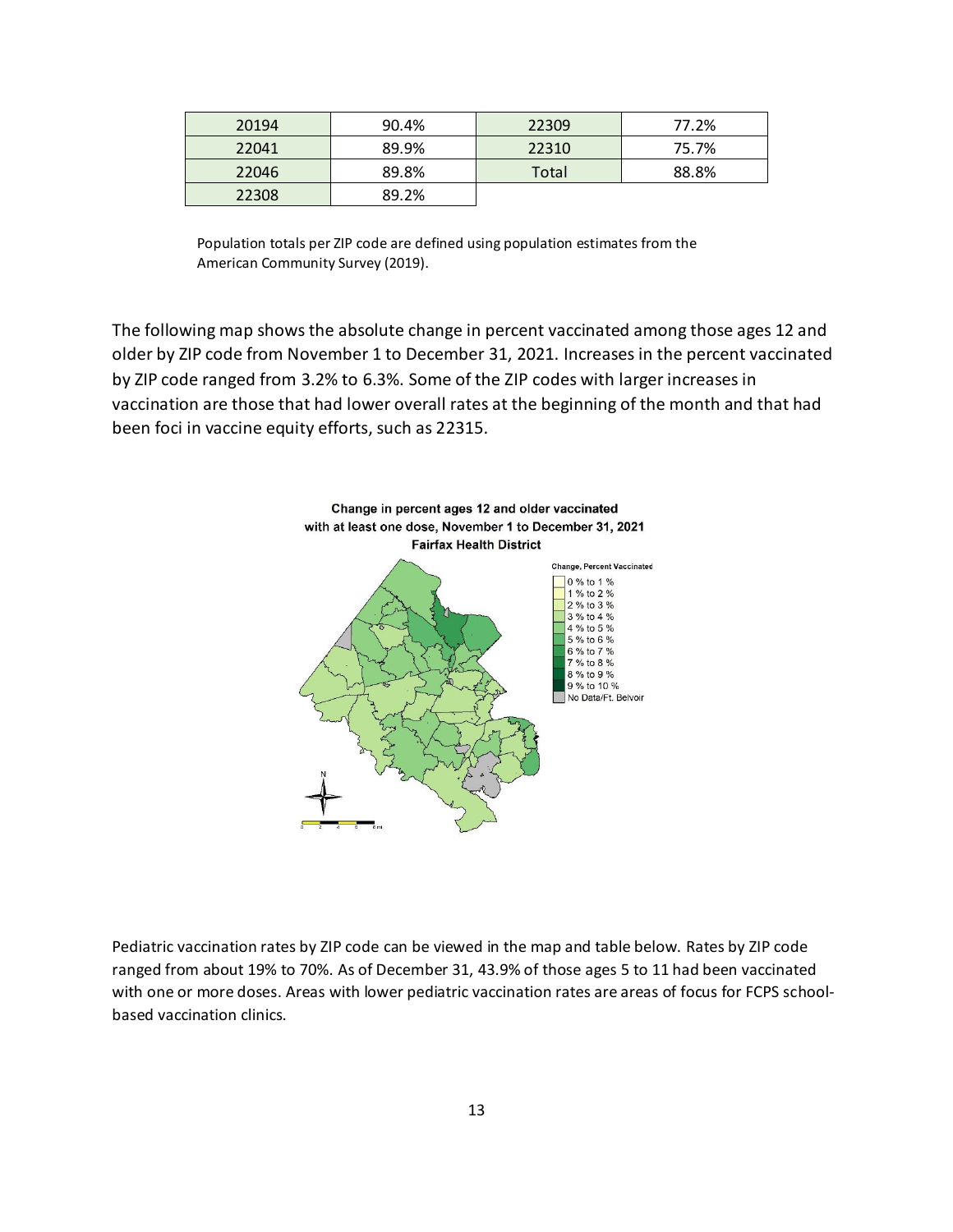| 20194 | 90.4% | 22309 | 77.2% |
|-------|-------|-------|-------|
| 22041 | 89.9% | 22310 | 75.7% |
| 22046 | 89.8% | Total | 88.8% |
| 22308 | 89.2% |       |       |

Population totals per ZIP code are defined using population estimates from the American Community Survey (2019).

The following map shows the absolute change in percent vaccinated among those ages 12 and older by ZIP code from November 1 to December 31, 2021. Increases in the percent vaccinated by ZIP code ranged from 3.2% to 6.3%. Some of the ZIP codes with larger increases in vaccination are those that had lower overall rates at the beginning of the month and that had been foci in vaccine equity efforts, such as 22315.



Pediatric vaccination rates by ZIP code can be viewed in the map and table below. Rates by ZIP code ranged from about 19% to 70%. As of December 31, 43.9% of those ages 5 to 11 had been vaccinated with one or more doses. Areas with lower pediatric vaccination rates are areas of focus for FCPS schoolbased vaccination clinics.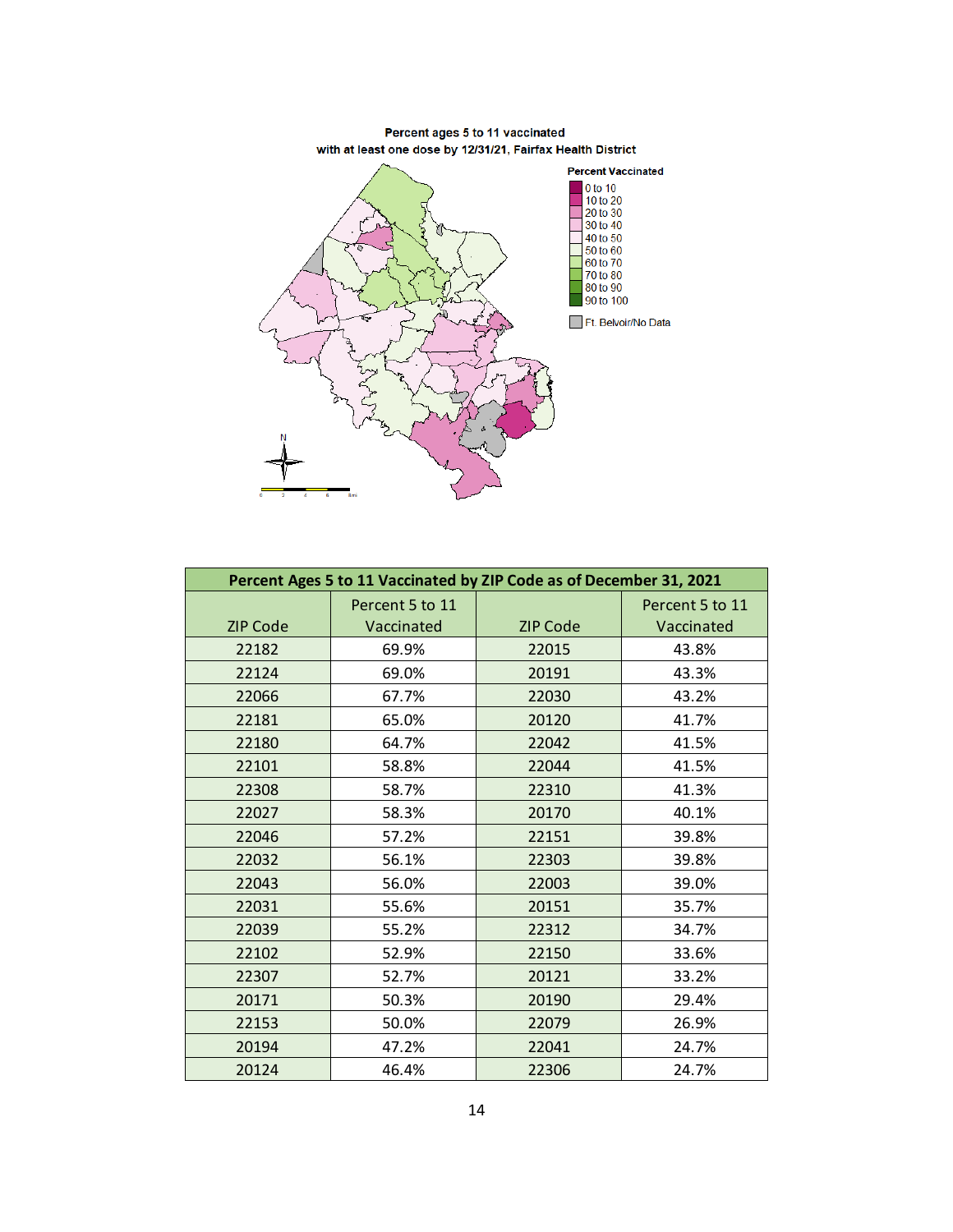

**Percent Ages 5 to 11 Vaccinated by ZIP Code as of December 31, 2021** ZIP Code Percent 5 to 11 Vaccinated | ZIP Code Percent 5 to 11 Vaccinated 69.9% 22015 43.8% 69.0% 20191 43.3% 67.7% 22030 43.2% 65.0% 20120 41.7% 64.7% 22042 41.5% 58.8% 22044 41.5% 58.7% 22310 41.3% 58.3% 20170 40.1% 57.2% 22151 39.8% 56.1% 22303 39.8% 56.0% 22003 39.0% 55.6% 20151 35.7% 55.2% 22312 34.7% 52.9% 22150 33.6% 52.7% 20121 33.2% 50.3% 20190 29.4% 50.0% 22079 26.9% 47.2% 22041 24.7% 46.4% 22306 24.7%

Percent ages 5 to 11 vaccinated with at least one dose by 12/31/21, Fairfax Health District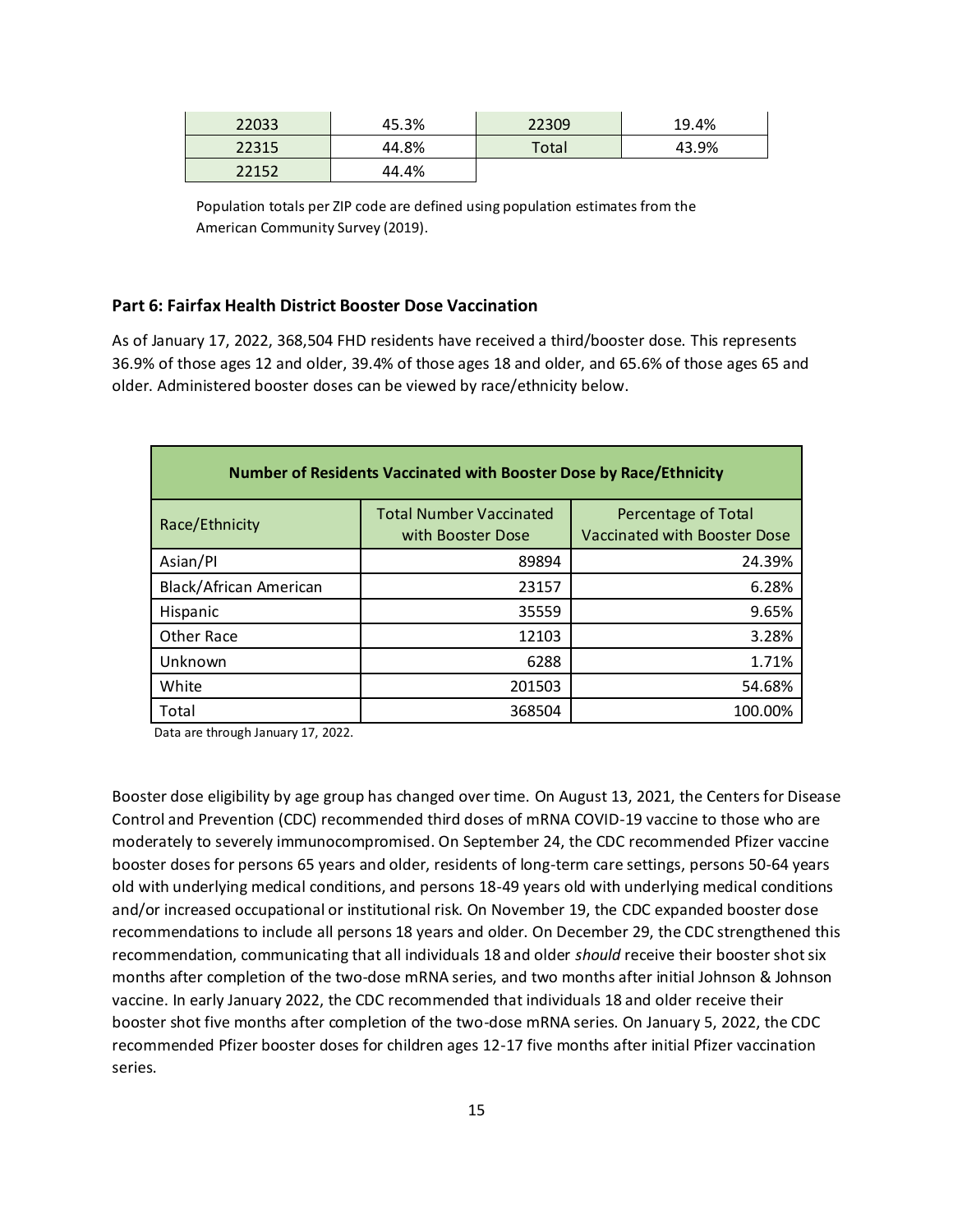| 22033 | 45.3% | 22309 | 19.4% |
|-------|-------|-------|-------|
| 22315 | 44.8% | Total | 43.9% |
| 22152 | 44.4% |       |       |

Population totals per ZIP code are defined using population estimates from the American Community Survey (2019).

#### **Part 6: Fairfax Health District Booster Dose Vaccination**

As of January 17, 2022, 368,504 FHD residents have received a third/booster dose. This represents 36.9% of those ages 12 and older, 39.4% of those ages 18 and older, and 65.6% of those ages 65 and older. Administered booster doses can be viewed by race/ethnicity below.

| Number of Residents Vaccinated with Booster Dose by Race/Ethnicity |                                                     |                                                            |  |  |
|--------------------------------------------------------------------|-----------------------------------------------------|------------------------------------------------------------|--|--|
| Race/Ethnicity                                                     | <b>Total Number Vaccinated</b><br>with Booster Dose | Percentage of Total<br><b>Vaccinated with Booster Dose</b> |  |  |
| Asian/Pl                                                           | 89894                                               | 24.39%                                                     |  |  |
| Black/African American                                             | 23157                                               | 6.28%                                                      |  |  |
| Hispanic                                                           | 35559                                               | 9.65%                                                      |  |  |
| Other Race                                                         | 12103                                               | 3.28%                                                      |  |  |
| Unknown                                                            | 6288                                                | 1.71%                                                      |  |  |
| White                                                              | 201503                                              | 54.68%                                                     |  |  |
| Total                                                              | 368504                                              | 100.00%                                                    |  |  |

Data are through January 17, 2022.

Booster dose eligibility by age group has changed over time. On August 13, 2021, the Centers for Disease Control and Prevention (CDC) recommended third doses of mRNA COVID-19 vaccine to those who are moderately to severely immunocompromised. On September 24, the CDC recommended Pfizer vaccine booster doses for persons 65 years and older, residents of long-term care settings, persons 50-64 years old with underlying medical conditions, and persons 18-49 years old with underlying medical conditions and/or increased occupational or institutional risk. On November 19, the CDC expanded booster dose recommendations to include all persons 18 years and older. On December 29, the CDC strengthened this recommendation, communicating that all individuals 18 and older *should* receive their booster shot six months after completion of the two-dose mRNA series, and two months after initial Johnson & Johnson vaccine. In early January 2022, the CDC recommended that individuals 18 and older receive their booster shot five months after completion of the two-dose mRNA series. On January 5, 2022, the CDC recommended Pfizer booster doses for children ages 12-17 five months after initial Pfizer vaccination series.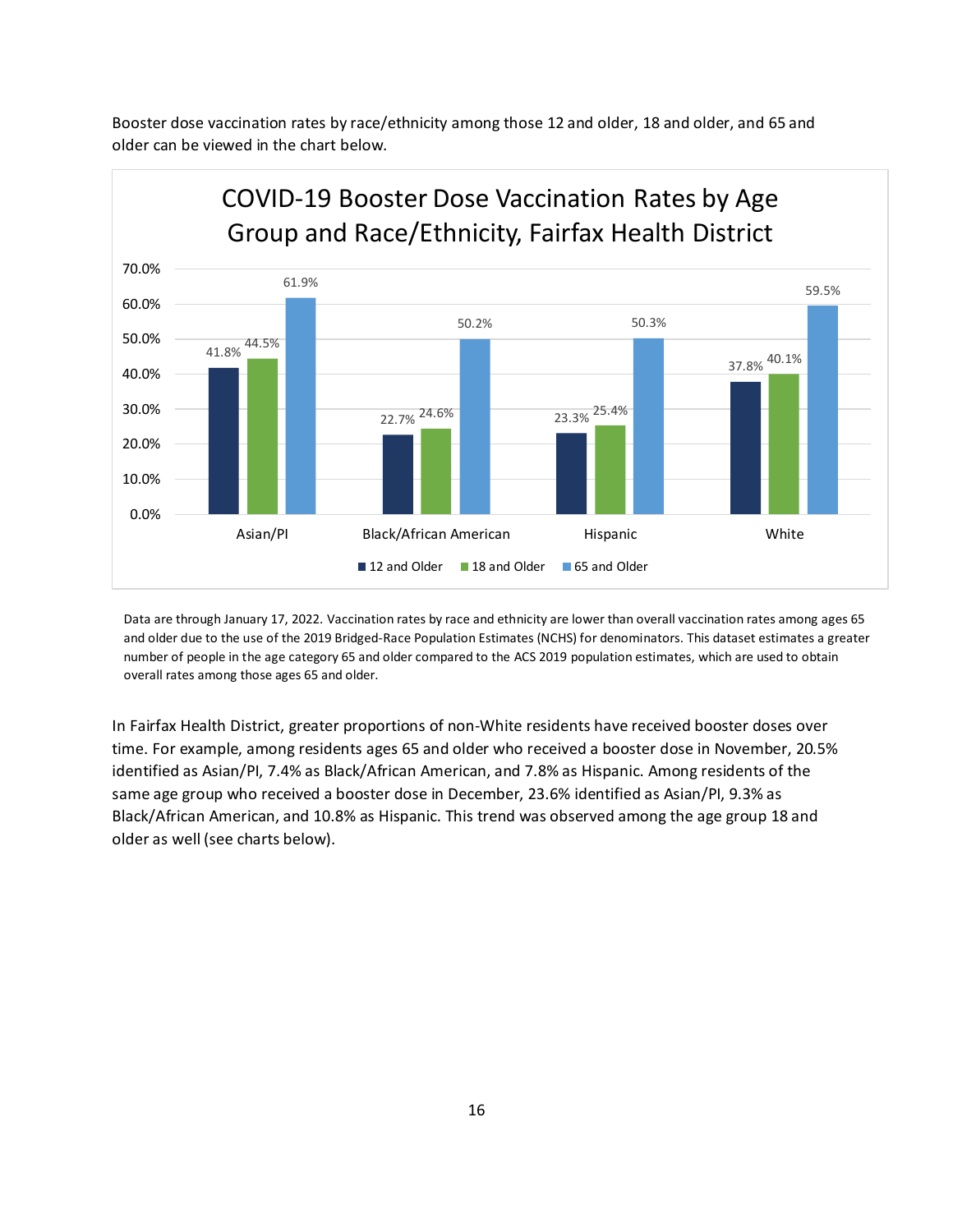Booster dose vaccination rates by race/ethnicity among those 12 and older, 18 and older, and 65 and older can be viewed in the chart below.



Data are through January 17, 2022. Vaccination rates by race and ethnicity are lower than overall vaccination rates among ages 65 and older due to the use of the 2019 Bridged-Race Population Estimates (NCHS) for denominators. This dataset estimates a greater number of people in the age category 65 and older compared to the ACS 2019 population estimates, which are used to obtain overall rates among those ages 65 and older.

In Fairfax Health District, greater proportions of non-White residents have received booster doses over time. For example, among residents ages 65 and older who received a booster dose in November, 20.5% identified as Asian/PI, 7.4% as Black/African American, and 7.8% as Hispanic. Among residents of the same age group who received a booster dose in December, 23.6% identified as Asian/PI, 9.3% as Black/African American, and 10.8% as Hispanic. This trend was observed among the age group 18 and older as well (see charts below).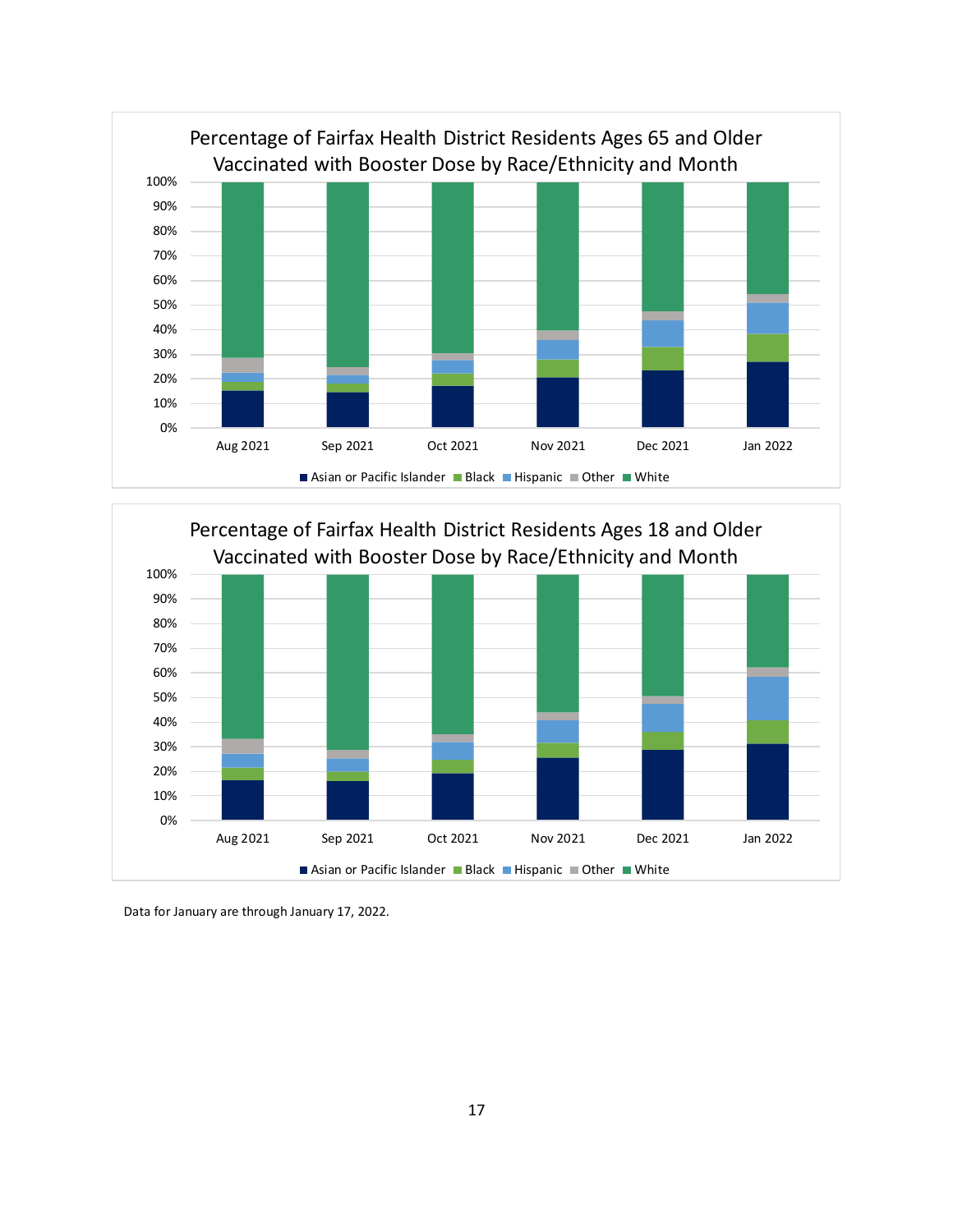



Data for January are through January 17, 2022.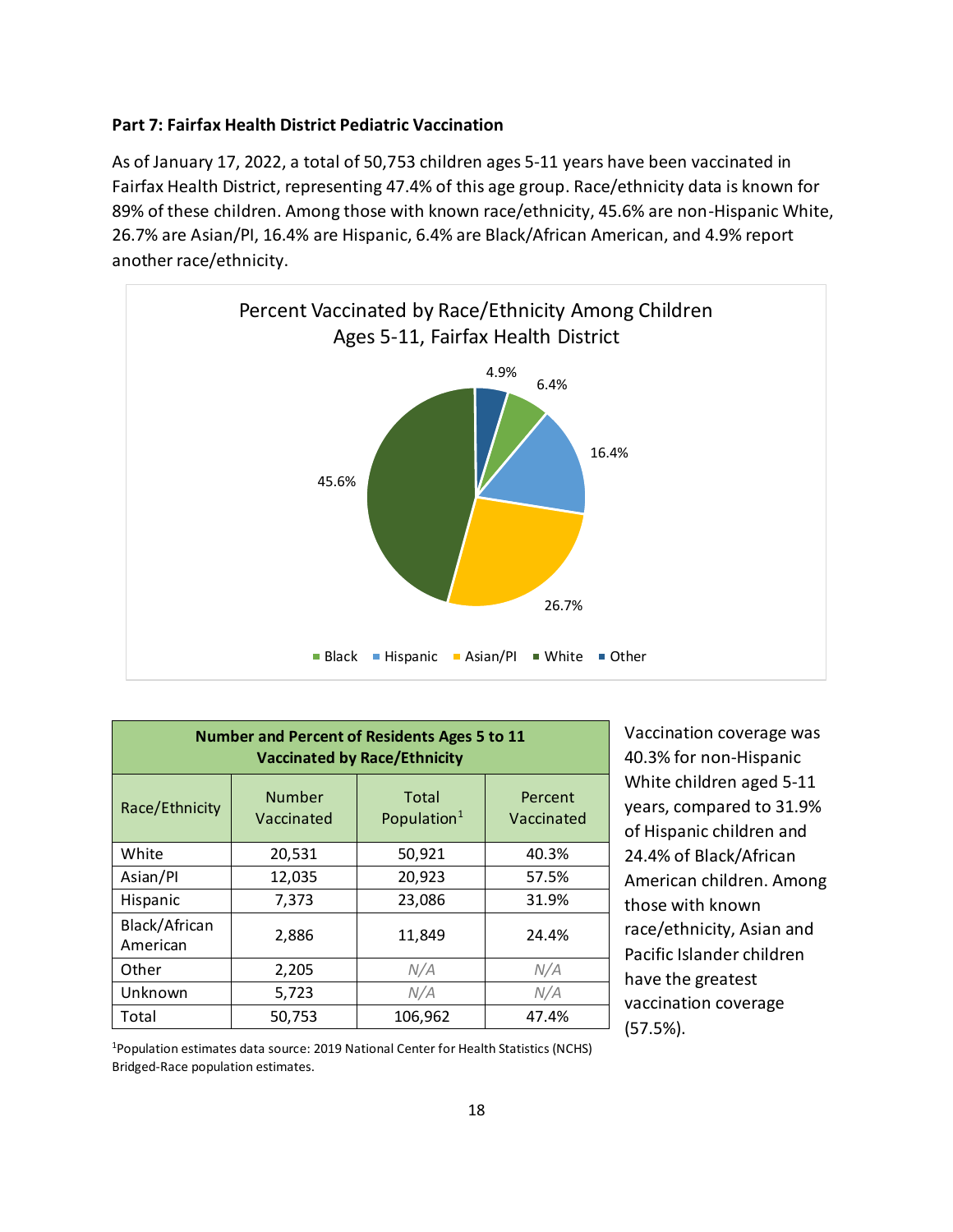# **Part 7: Fairfax Health District Pediatric Vaccination**

As of January 17, 2022, a total of 50,753 children ages 5-11 years have been vaccinated in Fairfax Health District, representing 47.4% of this age group. Race/ethnicity data is known for 89% of these children. Among those with known race/ethnicity, 45.6% are non-Hispanic White, 26.7% are Asian/PI, 16.4% are Hispanic, 6.4% are Black/African American, and 4.9% report another race/ethnicity.



| <b>Number and Percent of Residents Ages 5 to 11</b><br><b>Vaccinated by Race/Ethnicity</b> |                             |                                  |                       |
|--------------------------------------------------------------------------------------------|-----------------------------|----------------------------------|-----------------------|
| Race/Ethnicity                                                                             | <b>Number</b><br>Vaccinated | Total<br>Population <sup>1</sup> | Percent<br>Vaccinated |
| White                                                                                      | 20,531                      | 50,921                           | 40.3%                 |
| Asian/Pl                                                                                   | 12,035                      | 20,923                           | 57.5%                 |
| Hispanic                                                                                   | 7,373                       | 23,086                           | 31.9%                 |
| Black/African<br>American                                                                  | 2,886                       | 11,849                           | 24.4%                 |
| Other                                                                                      | 2,205                       | N/A                              | N/A                   |
| Unknown                                                                                    | 5,723                       | N/A                              | N/A                   |
| Total                                                                                      | 50,753                      | 106,962                          | 47.4%                 |

Vaccination coverage was 40.3% for non-Hispanic White children aged 5-11 years, compared to 31.9% of Hispanic children and 24.4% of Black/African American children. Among those with known race/ethnicity, Asian and Pacific Islander children have the greatest vaccination coverage (57.5%).

<sup>1</sup>Population estimates data source: 2019 National Center for Health Statistics (NCHS) Bridged-Race population estimates.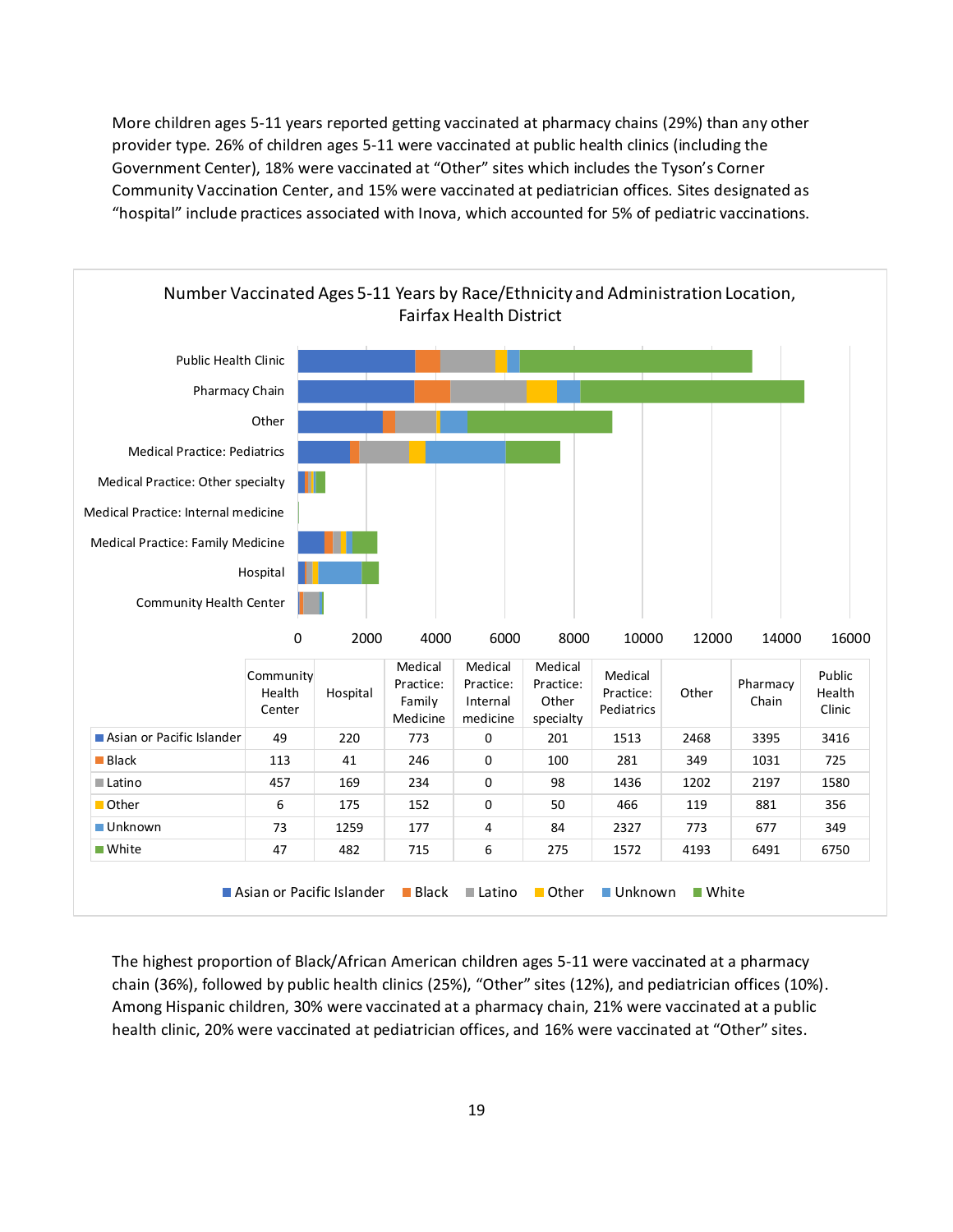More children ages 5-11 years reported getting vaccinated at pharmacy chains (29%) than any other provider type. 26% of children ages 5-11 were vaccinated at public health clinics (including the Government Center), 18% were vaccinated at "Other" sites which includes the Tyson's Corner Community Vaccination Center, and 15% were vaccinated at pediatrician offices. Sites designated as "hospital" include practices associated with Inova, which accounted for 5% of pediatric vaccinations.



The highest proportion of Black/African American children ages 5-11 were vaccinated at a pharmacy chain (36%), followed by public health clinics (25%), "Other" sites (12%), and pediatrician offices (10%). Among Hispanic children, 30% were vaccinated at a pharmacy chain, 21% were vaccinated at a public health clinic, 20% were vaccinated at pediatrician offices, and 16% were vaccinated at "Other" sites.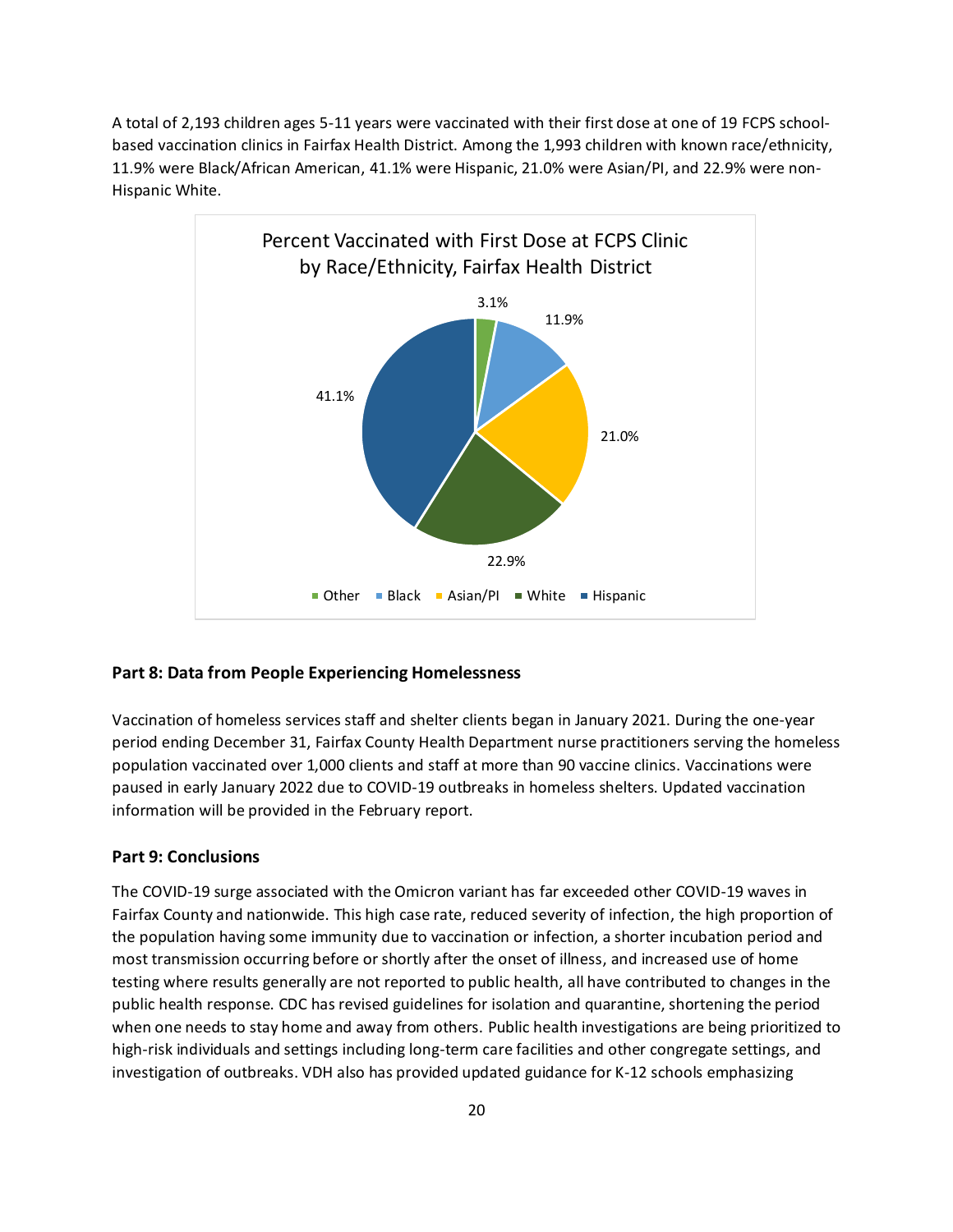A total of 2,193 children ages 5-11 years were vaccinated with their first dose at one of 19 FCPS schoolbased vaccination clinics in Fairfax Health District. Among the 1,993 children with known race/ethnicity, 11.9% were Black/African American, 41.1% were Hispanic, 21.0% were Asian/PI, and 22.9% were non-Hispanic White.



## **Part 8: Data from People Experiencing Homelessness**

Vaccination of homeless services staff and shelter clients began in January 2021. During the one-year period ending December 31, Fairfax County Health Department nurse practitioners serving the homeless population vaccinated over 1,000 clients and staff at more than 90 vaccine clinics. Vaccinations were paused in early January 2022 due to COVID-19 outbreaks in homeless shelters. Updated vaccination information will be provided in the February report.

#### **Part 9: Conclusions**

The COVID-19 surge associated with the Omicron variant has far exceeded other COVID-19 waves in Fairfax County and nationwide. This high case rate, reduced severity of infection, the high proportion of the population having some immunity due to vaccination or infection, a shorter incubation period and most transmission occurring before or shortly after the onset of illness, and increased use of home testing where results generally are not reported to public health, all have contributed to changes in the public health response. CDC has revised guidelines for isolation and quarantine, shortening the period when one needs to stay home and away from others. Public health investigations are being prioritized to high-risk individuals and settings including long-term care facilities and other congregate settings, and investigation of outbreaks. VDH also has provided updated guidance for K-12 schools emphasizing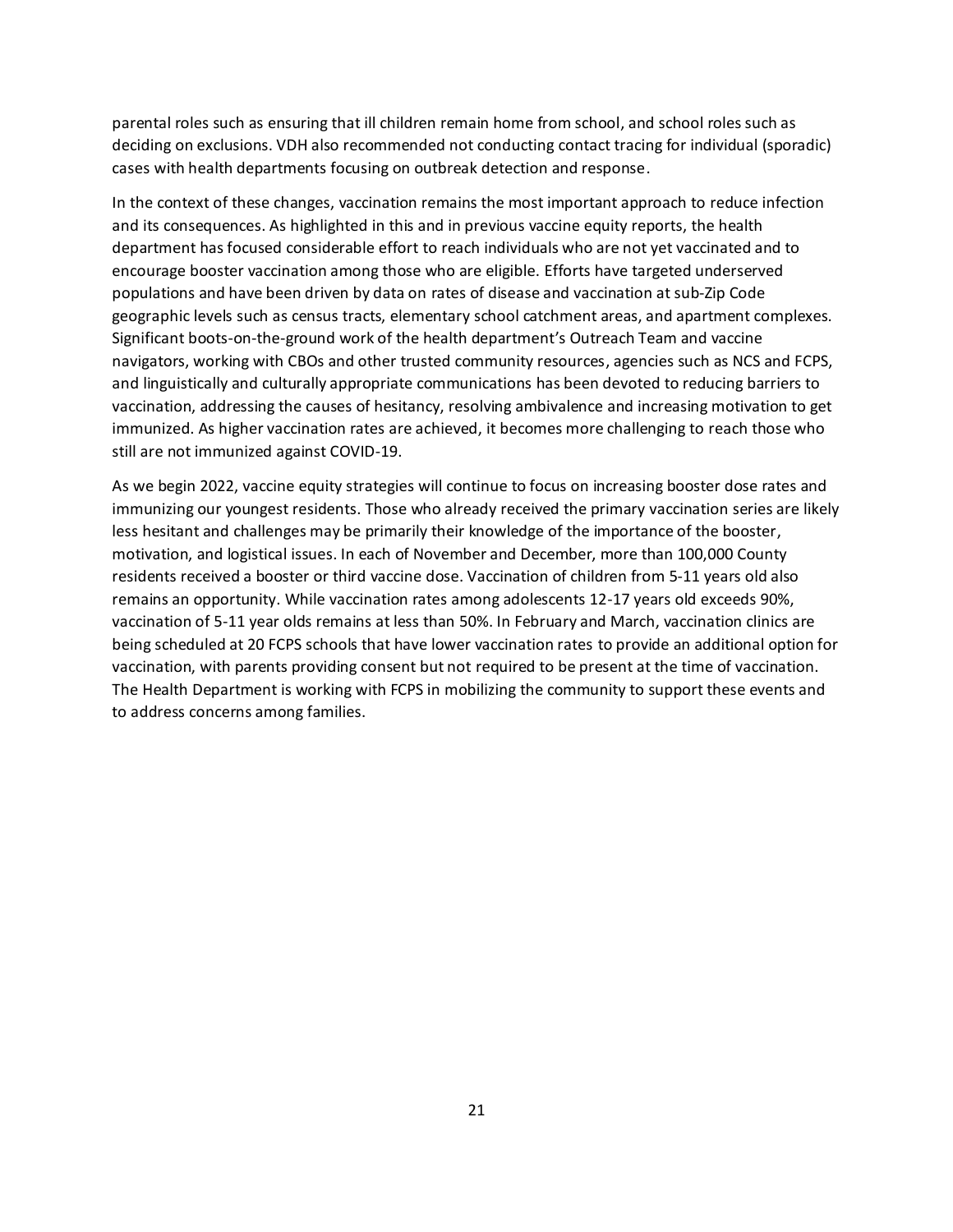parental roles such as ensuring that ill children remain home from school, and school roles such as deciding on exclusions. VDH also recommended not conducting contact tracing for individual (sporadic) cases with health departments focusing on outbreak detection and response.

In the context of these changes, vaccination remains the most important approach to reduce infection and its consequences. As highlighted in this and in previous vaccine equity reports, the health department has focused considerable effort to reach individuals who are not yet vaccinated and to encourage booster vaccination among those who are eligible. Efforts have targeted underserved populations and have been driven by data on rates of disease and vaccination at sub-Zip Code geographic levels such as census tracts, elementary school catchment areas, and apartment complexes. Significant boots-on-the-ground work of the health department's Outreach Team and vaccine navigators, working with CBOs and other trusted community resources, agencies such as NCS and FCPS, and linguistically and culturally appropriate communications has been devoted to reducing barriers to vaccination, addressing the causes of hesitancy, resolving ambivalence and increasing motivation to get immunized. As higher vaccination rates are achieved, it becomes more challenging to reach those who still are not immunized against COVID-19.

As we begin 2022, vaccine equity strategies will continue to focus on increasing booster dose rates and immunizing our youngest residents. Those who already received the primary vaccination series are likely less hesitant and challenges may be primarily their knowledge of the importance of the booster, motivation, and logistical issues. In each of November and December, more than 100,000 County residents received a booster or third vaccine dose. Vaccination of children from 5-11 years old also remains an opportunity. While vaccination rates among adolescents 12-17 years old exceeds 90%, vaccination of 5-11 year olds remains at less than 50%. In February and March, vaccination clinics are being scheduled at 20 FCPS schools that have lower vaccination rates to provide an additional option for vaccination, with parents providing consent but not required to be present at the time of vaccination. The Health Department is working with FCPS in mobilizing the community to support these events and to address concerns among families.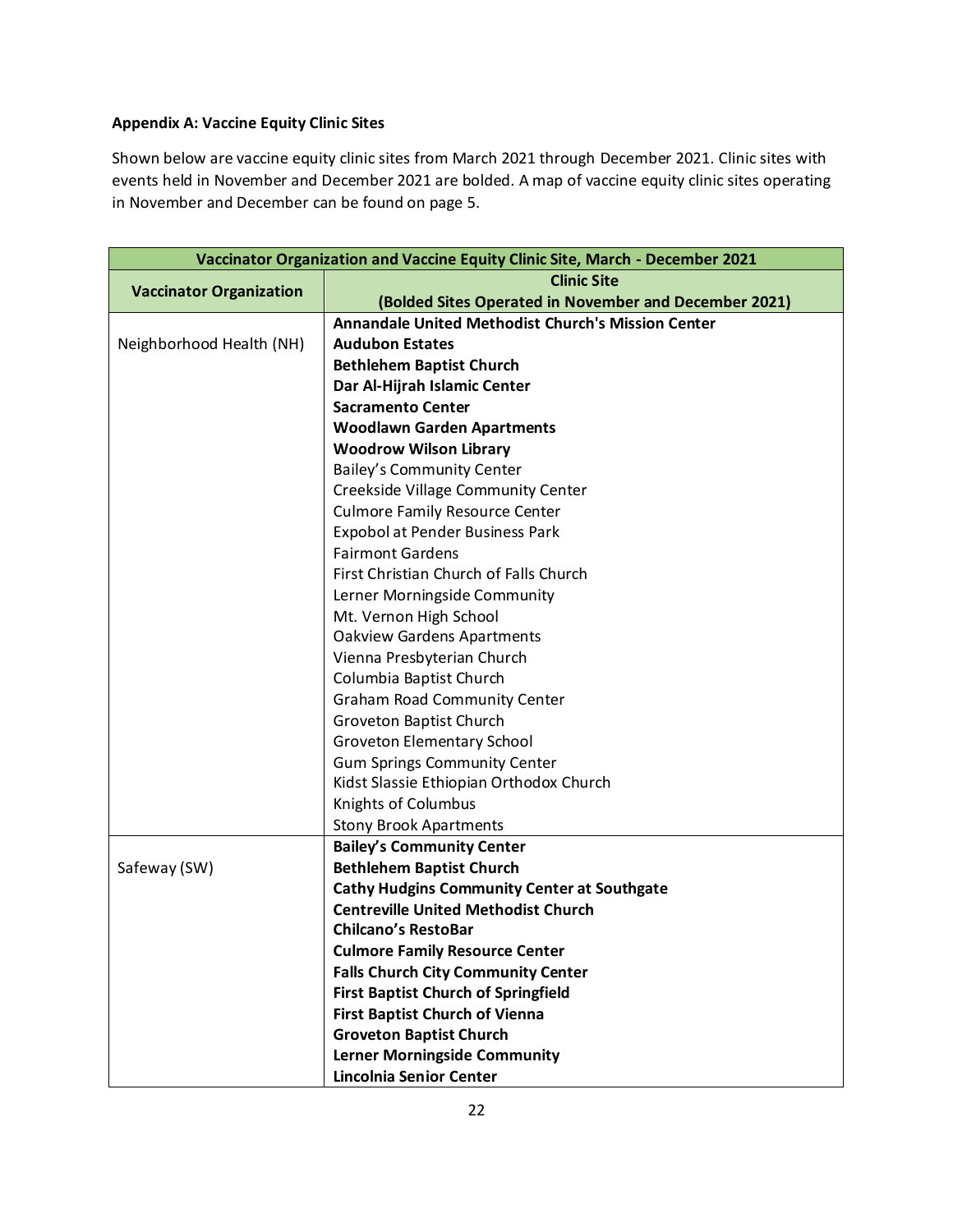# **Appendix A: Vaccine Equity Clinic Sites**

Shown below are vaccine equity clinic sites from March 2021 through December 2021. Clinic sites with events held in November and December 2021 are bolded. A map of vaccine equity clinic sites operating in November and December can be found on page 5.

| Vaccinator Organization and Vaccine Equity Clinic Site, March - December 2021 |                                                           |  |  |  |
|-------------------------------------------------------------------------------|-----------------------------------------------------------|--|--|--|
| <b>Clinic Site</b><br><b>Vaccinator Organization</b>                          |                                                           |  |  |  |
|                                                                               | (Bolded Sites Operated in November and December 2021)     |  |  |  |
|                                                                               | <b>Annandale United Methodist Church's Mission Center</b> |  |  |  |
| Neighborhood Health (NH)                                                      | <b>Audubon Estates</b>                                    |  |  |  |
|                                                                               | <b>Bethlehem Baptist Church</b>                           |  |  |  |
|                                                                               | Dar Al-Hijrah Islamic Center                              |  |  |  |
|                                                                               | <b>Sacramento Center</b>                                  |  |  |  |
|                                                                               | <b>Woodlawn Garden Apartments</b>                         |  |  |  |
|                                                                               | <b>Woodrow Wilson Library</b>                             |  |  |  |
|                                                                               | <b>Bailey's Community Center</b>                          |  |  |  |
|                                                                               | Creekside Village Community Center                        |  |  |  |
|                                                                               | <b>Culmore Family Resource Center</b>                     |  |  |  |
|                                                                               | Expobol at Pender Business Park                           |  |  |  |
|                                                                               | <b>Fairmont Gardens</b>                                   |  |  |  |
|                                                                               | First Christian Church of Falls Church                    |  |  |  |
|                                                                               | Lerner Morningside Community                              |  |  |  |
|                                                                               | Mt. Vernon High School                                    |  |  |  |
|                                                                               | <b>Oakview Gardens Apartments</b>                         |  |  |  |
|                                                                               | Vienna Presbyterian Church                                |  |  |  |
|                                                                               | Columbia Baptist Church                                   |  |  |  |
|                                                                               | <b>Graham Road Community Center</b>                       |  |  |  |
|                                                                               | Groveton Baptist Church                                   |  |  |  |
|                                                                               | Groveton Elementary School                                |  |  |  |
|                                                                               | <b>Gum Springs Community Center</b>                       |  |  |  |
|                                                                               | Kidst Slassie Ethiopian Orthodox Church                   |  |  |  |
|                                                                               | Knights of Columbus                                       |  |  |  |
|                                                                               | <b>Stony Brook Apartments</b>                             |  |  |  |
|                                                                               | <b>Bailey's Community Center</b>                          |  |  |  |
| Safeway (SW)                                                                  | <b>Bethlehem Baptist Church</b>                           |  |  |  |
|                                                                               | <b>Cathy Hudgins Community Center at Southgate</b>        |  |  |  |
|                                                                               | <b>Centreville United Methodist Church</b>                |  |  |  |
|                                                                               | <b>Chilcano's RestoBar</b>                                |  |  |  |
|                                                                               | <b>Culmore Family Resource Center</b>                     |  |  |  |
|                                                                               | <b>Falls Church City Community Center</b>                 |  |  |  |
|                                                                               | <b>First Baptist Church of Springfield</b>                |  |  |  |
|                                                                               | <b>First Baptist Church of Vienna</b>                     |  |  |  |
|                                                                               | <b>Groveton Baptist Church</b>                            |  |  |  |
|                                                                               | <b>Lerner Morningside Community</b>                       |  |  |  |
|                                                                               | <b>Lincolnia Senior Center</b>                            |  |  |  |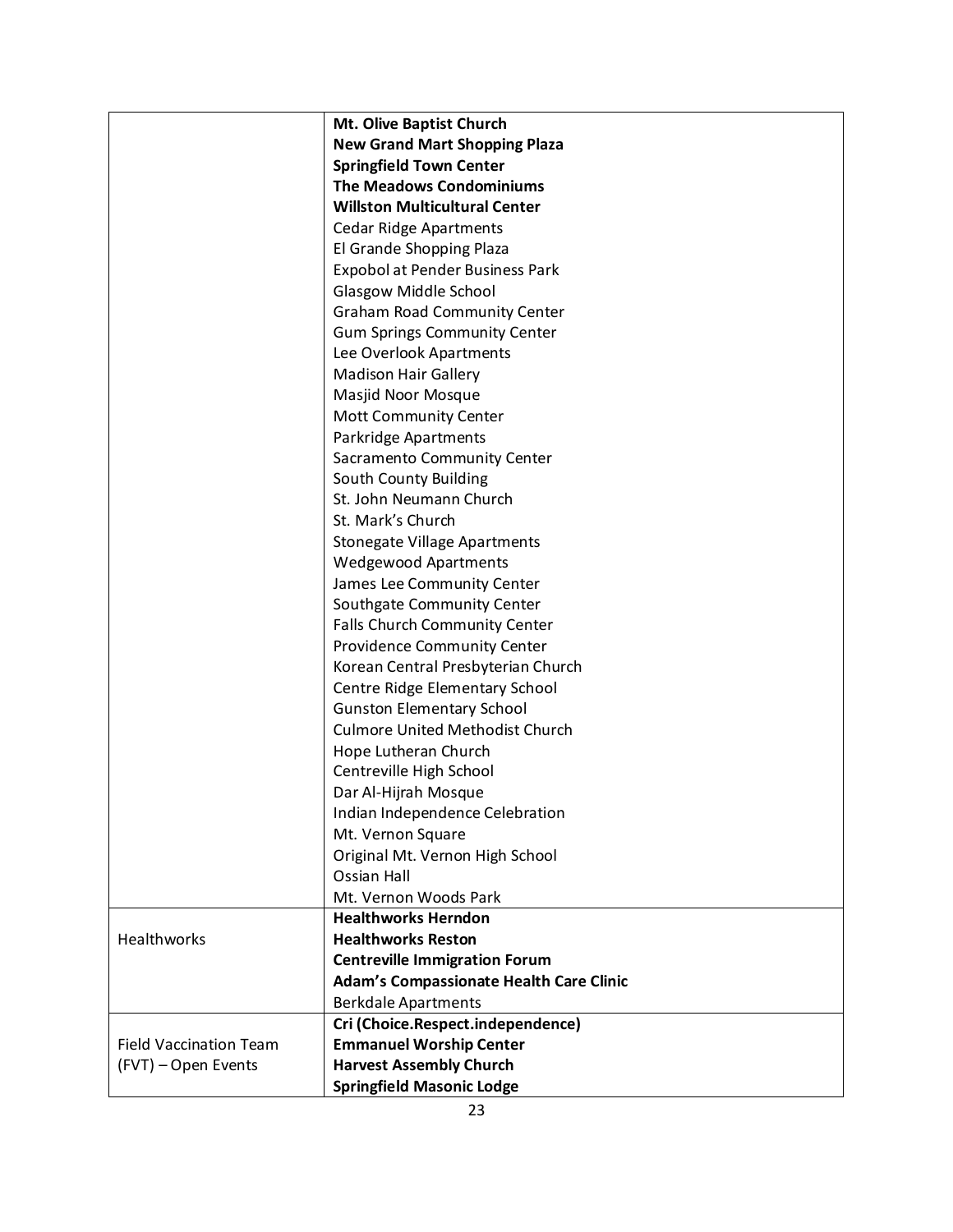|                               | Mt. Olive Baptist Church                       |
|-------------------------------|------------------------------------------------|
|                               | <b>New Grand Mart Shopping Plaza</b>           |
|                               | <b>Springfield Town Center</b>                 |
|                               | <b>The Meadows Condominiums</b>                |
|                               | <b>Willston Multicultural Center</b>           |
|                               | <b>Cedar Ridge Apartments</b>                  |
|                               | El Grande Shopping Plaza                       |
|                               | Expobol at Pender Business Park                |
|                               | Glasgow Middle School                          |
|                               | <b>Graham Road Community Center</b>            |
|                               | <b>Gum Springs Community Center</b>            |
|                               | Lee Overlook Apartments                        |
|                               | <b>Madison Hair Gallery</b>                    |
|                               | Masjid Noor Mosque                             |
|                               | <b>Mott Community Center</b>                   |
|                               | Parkridge Apartments                           |
|                               | Sacramento Community Center                    |
|                               | South County Building                          |
|                               | St. John Neumann Church                        |
|                               | St. Mark's Church                              |
|                               | <b>Stonegate Village Apartments</b>            |
|                               | <b>Wedgewood Apartments</b>                    |
|                               | James Lee Community Center                     |
|                               | Southgate Community Center                     |
|                               | Falls Church Community Center                  |
|                               | Providence Community Center                    |
|                               | Korean Central Presbyterian Church             |
|                               | Centre Ridge Elementary School                 |
|                               | <b>Gunston Elementary School</b>               |
|                               | <b>Culmore United Methodist Church</b>         |
|                               | Hope Lutheran Church                           |
|                               | Centreville High School                        |
|                               | Dar Al-Hijrah Mosque                           |
|                               | Indian Independence Celebration                |
|                               | Mt. Vernon Square                              |
|                               | Original Mt. Vernon High School                |
|                               | Ossian Hall                                    |
|                               | Mt. Vernon Woods Park                          |
|                               | <b>Healthworks Herndon</b>                     |
| Healthworks                   | <b>Healthworks Reston</b>                      |
|                               | <b>Centreville Immigration Forum</b>           |
|                               | <b>Adam's Compassionate Health Care Clinic</b> |
|                               | <b>Berkdale Apartments</b>                     |
|                               | Cri (Choice.Respect.independence)              |
| <b>Field Vaccination Team</b> | <b>Emmanuel Worship Center</b>                 |
| (FVT) - Open Events           | <b>Harvest Assembly Church</b>                 |
|                               | <b>Springfield Masonic Lodge</b>               |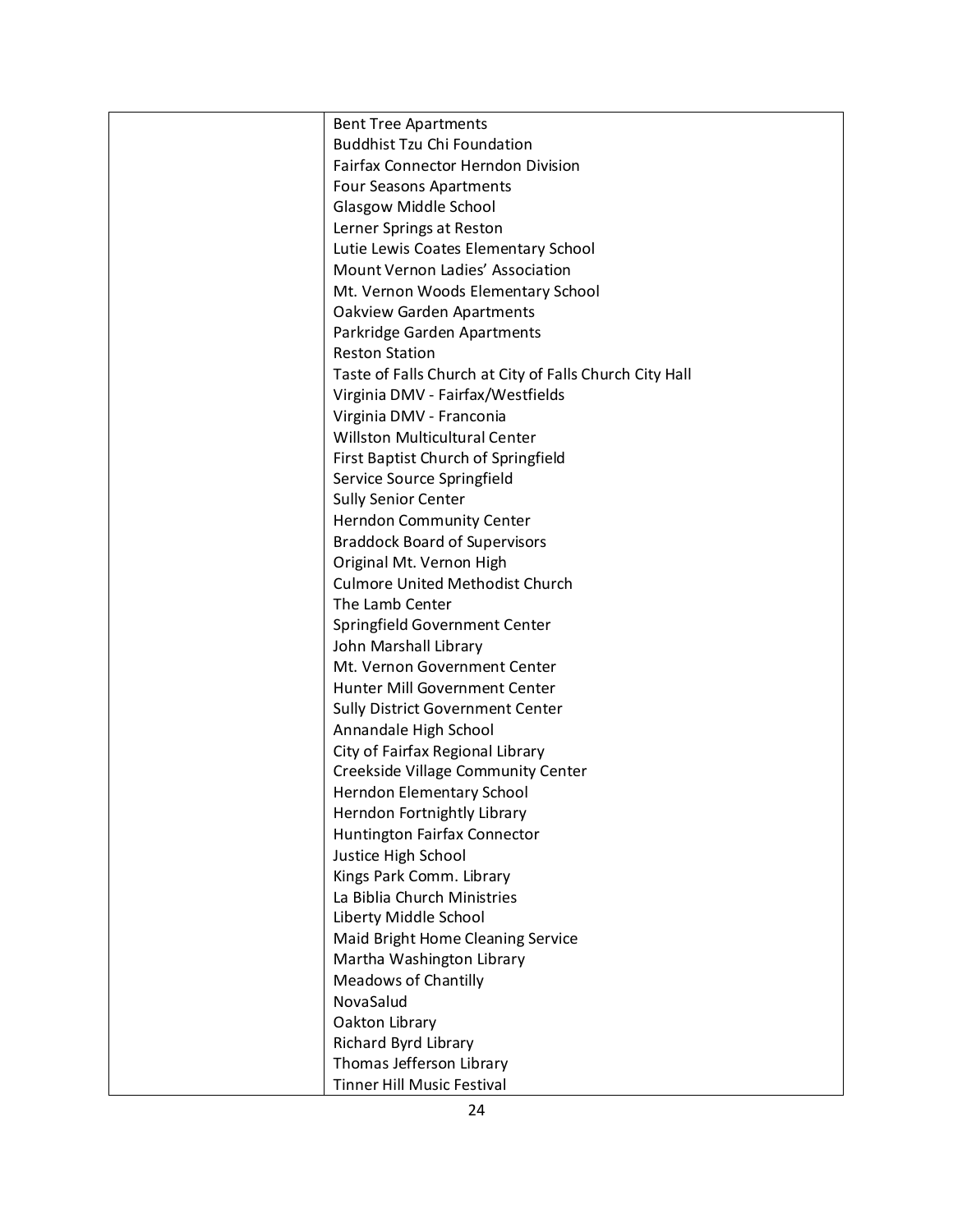| <b>Bent Tree Apartments</b>                             |
|---------------------------------------------------------|
| <b>Buddhist Tzu Chi Foundation</b>                      |
| <b>Fairfax Connector Herndon Division</b>               |
| <b>Four Seasons Apartments</b>                          |
| Glasgow Middle School                                   |
| Lerner Springs at Reston                                |
| Lutie Lewis Coates Elementary School                    |
| Mount Vernon Ladies' Association                        |
| Mt. Vernon Woods Elementary School                      |
| <b>Oakview Garden Apartments</b>                        |
| Parkridge Garden Apartments                             |
| <b>Reston Station</b>                                   |
| Taste of Falls Church at City of Falls Church City Hall |
| Virginia DMV - Fairfax/Westfields                       |
| Virginia DMV - Franconia                                |
| Willston Multicultural Center                           |
| First Baptist Church of Springfield                     |
| Service Source Springfield                              |
| <b>Sully Senior Center</b>                              |
| <b>Herndon Community Center</b>                         |
| <b>Braddock Board of Supervisors</b>                    |
| Original Mt. Vernon High                                |
| <b>Culmore United Methodist Church</b>                  |
| The Lamb Center                                         |
| Springfield Government Center                           |
| John Marshall Library                                   |
| Mt. Vernon Government Center                            |
| Hunter Mill Government Center                           |
| Sully District Government Center                        |
| Annandale High School                                   |
| City of Fairfax Regional Library                        |
| Creekside Village Community Center                      |
| Herndon Elementary School                               |
| Herndon Fortnightly Library                             |
| Huntington Fairfax Connector                            |
| Justice High School                                     |
| Kings Park Comm. Library                                |
| La Biblia Church Ministries                             |
| Liberty Middle School                                   |
| Maid Bright Home Cleaning Service                       |
| Martha Washington Library                               |
| <b>Meadows of Chantilly</b>                             |
| NovaSalud                                               |
| Oakton Library                                          |
| Richard Byrd Library                                    |
| Thomas Jefferson Library                                |
| <b>Tinner Hill Music Festival</b>                       |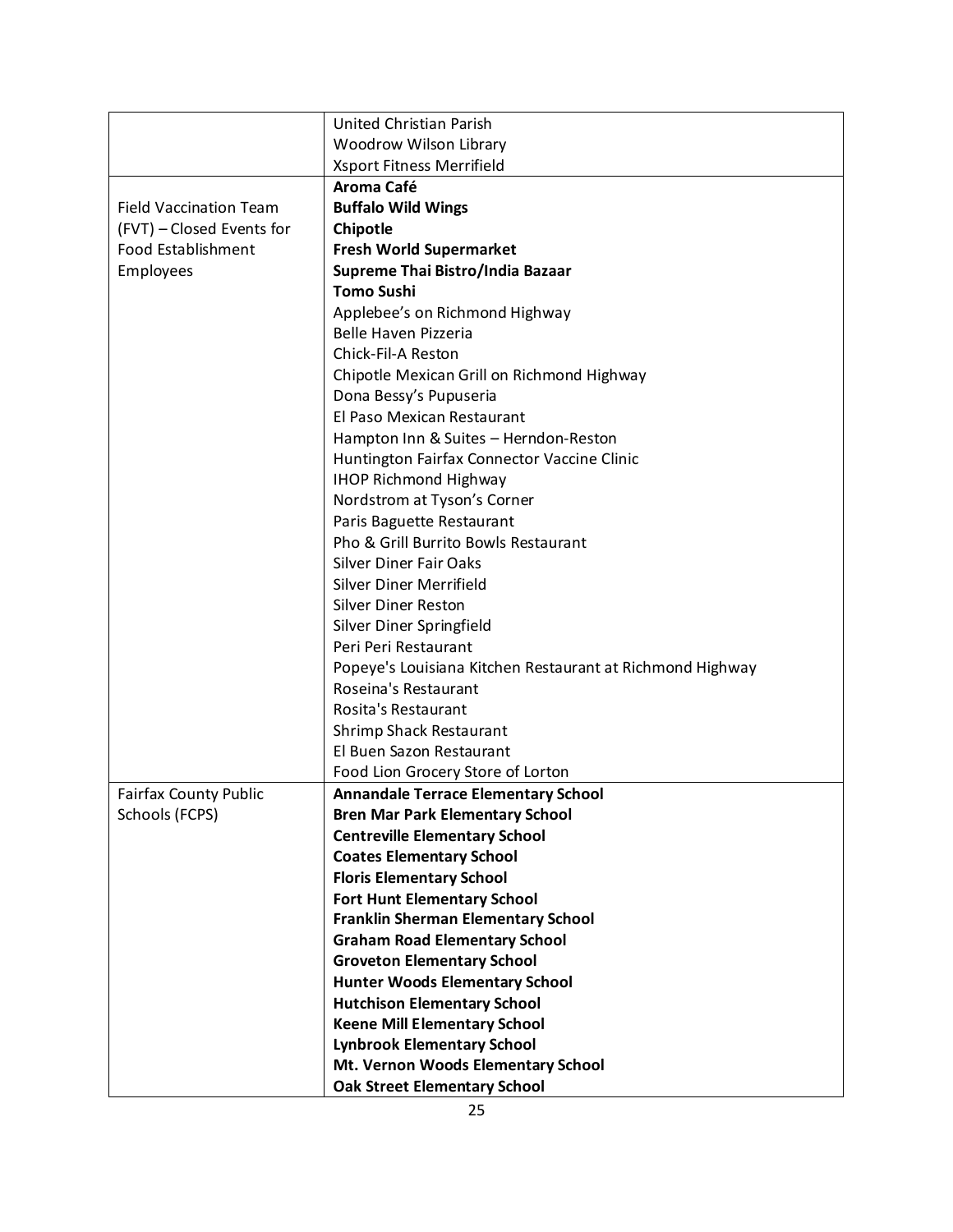|                               | United Christian Parish                                   |
|-------------------------------|-----------------------------------------------------------|
|                               | Woodrow Wilson Library                                    |
|                               | <b>Xsport Fitness Merrifield</b>                          |
|                               | Aroma Café                                                |
| <b>Field Vaccination Team</b> | <b>Buffalo Wild Wings</b>                                 |
| (FVT) - Closed Events for     | Chipotle                                                  |
| Food Establishment            | <b>Fresh World Supermarket</b>                            |
| Employees                     | Supreme Thai Bistro/India Bazaar                          |
|                               | <b>Tomo Sushi</b>                                         |
|                               | Applebee's on Richmond Highway                            |
|                               | Belle Haven Pizzeria                                      |
|                               | Chick-Fil-A Reston                                        |
|                               | Chipotle Mexican Grill on Richmond Highway                |
|                               | Dona Bessy's Pupuseria                                    |
|                               | El Paso Mexican Restaurant                                |
|                               | Hampton Inn & Suites - Herndon-Reston                     |
|                               | Huntington Fairfax Connector Vaccine Clinic               |
|                               | <b>IHOP Richmond Highway</b>                              |
|                               | Nordstrom at Tyson's Corner                               |
|                               | Paris Baguette Restaurant                                 |
|                               | Pho & Grill Burrito Bowls Restaurant                      |
|                               | Silver Diner Fair Oaks                                    |
|                               | Silver Diner Merrifield                                   |
|                               | <b>Silver Diner Reston</b>                                |
|                               | Silver Diner Springfield                                  |
|                               | Peri Peri Restaurant                                      |
|                               | Popeye's Louisiana Kitchen Restaurant at Richmond Highway |
|                               | Roseina's Restaurant                                      |
|                               | Rosita's Restaurant                                       |
|                               | Shrimp Shack Restaurant                                   |
|                               | El Buen Sazon Restaurant                                  |
|                               | Food Lion Grocery Store of Lorton                         |
| <b>Fairfax County Public</b>  | <b>Annandale Terrace Elementary School</b>                |
| Schools (FCPS)                | <b>Bren Mar Park Elementary School</b>                    |
|                               | <b>Centreville Elementary School</b>                      |
|                               | <b>Coates Elementary School</b>                           |
|                               | <b>Floris Elementary School</b>                           |
|                               | <b>Fort Hunt Elementary School</b>                        |
|                               | <b>Franklin Sherman Elementary School</b>                 |
|                               | <b>Graham Road Elementary School</b>                      |
|                               | <b>Groveton Elementary School</b>                         |
|                               | <b>Hunter Woods Elementary School</b>                     |
|                               | <b>Hutchison Elementary School</b>                        |
|                               | <b>Keene Mill Elementary School</b>                       |
|                               | <b>Lynbrook Elementary School</b>                         |
|                               | Mt. Vernon Woods Elementary School                        |
|                               | <b>Oak Street Elementary School</b>                       |